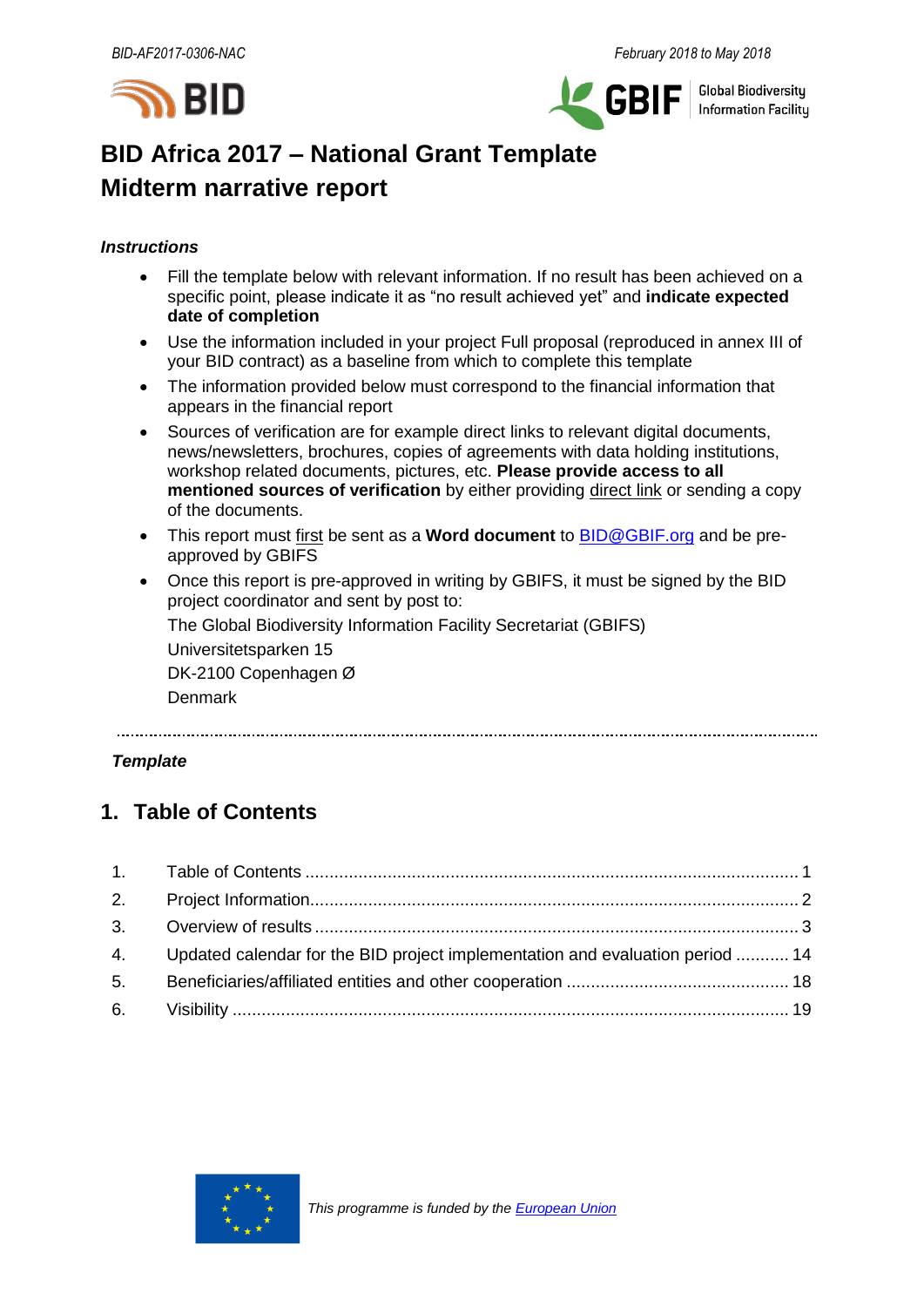



**Global Biodiversity Information Facility** 

# **BID Africa 2017 – National Grant Template Midterm narrative report**

## *Instructions*

- Fill the template below with relevant information. If no result has been achieved on a specific point, please indicate it as "no result achieved yet" and **indicate expected date of completion**
- Use the information included in your project Full proposal (reproduced in annex III of your BID contract) as a baseline from which to complete this template
- The information provided below must correspond to the financial information that appears in the financial report
- Sources of verification are for example direct links to relevant digital documents, news/newsletters, brochures, copies of agreements with data holding institutions, workshop related documents, pictures, etc. **Please provide access to all mentioned sources of verification** by either providing direct link or sending a copy of the documents.
- This report must first be sent as a **Word document** to [BID@GBIF.org](mailto:BID@GBIF.org) and be preapproved by GBIFS
- Once this report is pre-approved in writing by GBIFS, it must be signed by the BID project coordinator and sent by post to:

The Global Biodiversity Information Facility Secretariat (GBIFS)

Universitetsparken 15

DK-2100 Copenhagen Ø

Denmark

## *Template*

## <span id="page-0-0"></span>**1. Table of Contents**

| 4. Updated calendar for the BID project implementation and evaluation period  14 |  |
|----------------------------------------------------------------------------------|--|
|                                                                                  |  |
|                                                                                  |  |

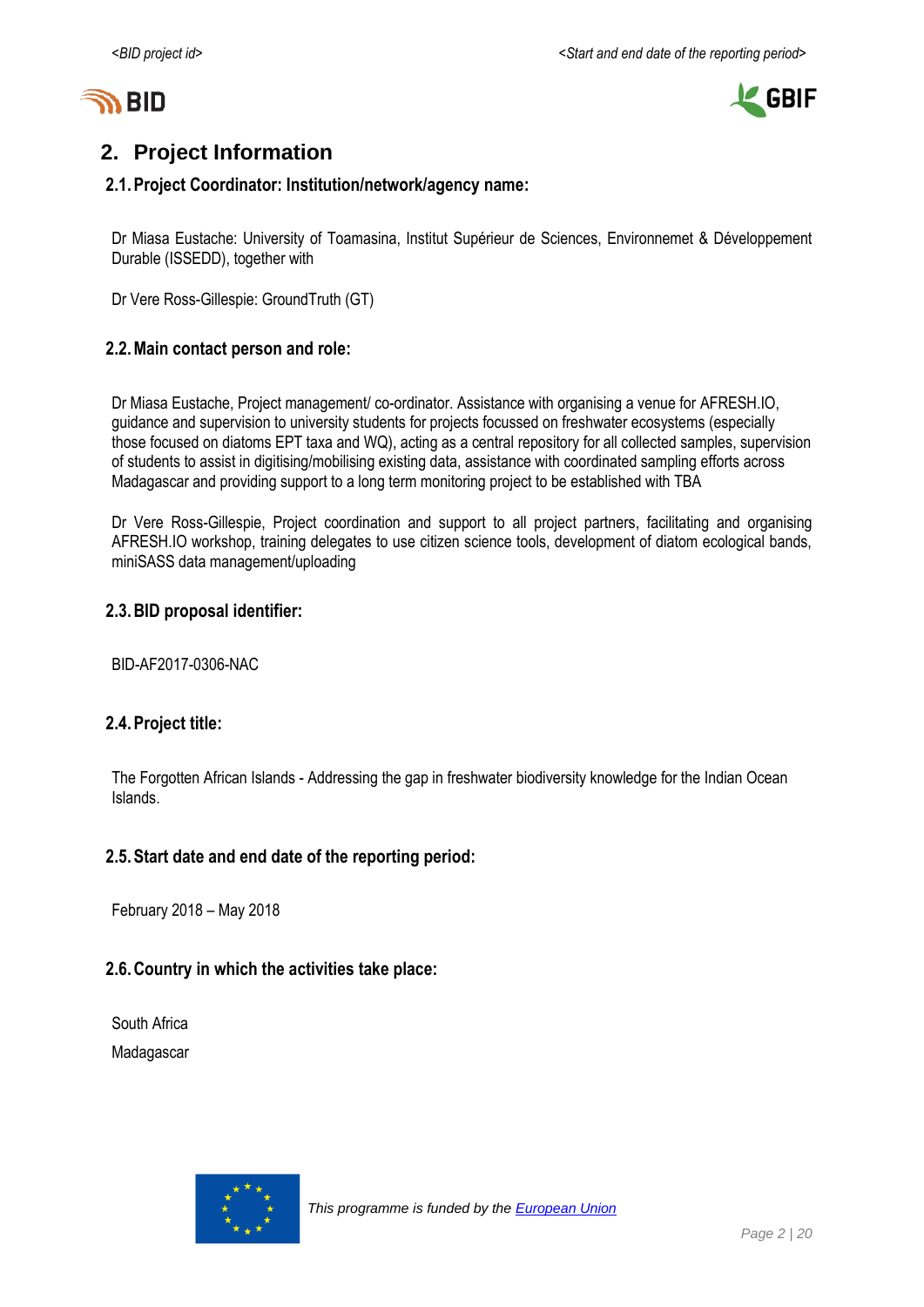



# <span id="page-1-0"></span>**2. Project Information**

## **2.1.Project Coordinator: Institution/network/agency name:**

Dr Miasa Eustache: University of Toamasina, Institut Supérieur de Sciences, Environnemet & Développement Durable (ISSEDD), together with

Dr Vere Ross-Gillespie: GroundTruth (GT)

## **2.2.Main contact person and role:**

Dr Miasa Eustache, Project management/ co-ordinator. Assistance with organising a venue for AFRESH.IO, guidance and supervision to university students for projects focussed on freshwater ecosystems (especially those focused on diatoms EPT taxa and WQ), acting as a central repository for all collected samples, supervision of students to assist in digitising/mobilising existing data, assistance with coordinated sampling efforts across Madagascar and providing support to a long term monitoring project to be established with TBA

Dr Vere Ross-Gillespie, Project coordination and support to all project partners, facilitating and organising AFRESH.IO workshop, training delegates to use citizen science tools, development of diatom ecological bands, miniSASS data management/uploading

## **2.3.BID proposal identifier:**

BID-AF2017-0306-NAC

### **2.4.Project title:**

The Forgotten African Islands - Addressing the gap in freshwater biodiversity knowledge for the Indian Ocean Islands.

### **2.5.Start date and end date of the reporting period:**

February 2018 – May 2018

## **2.6.Country in which the activities take place:**

South Africa Madagascar

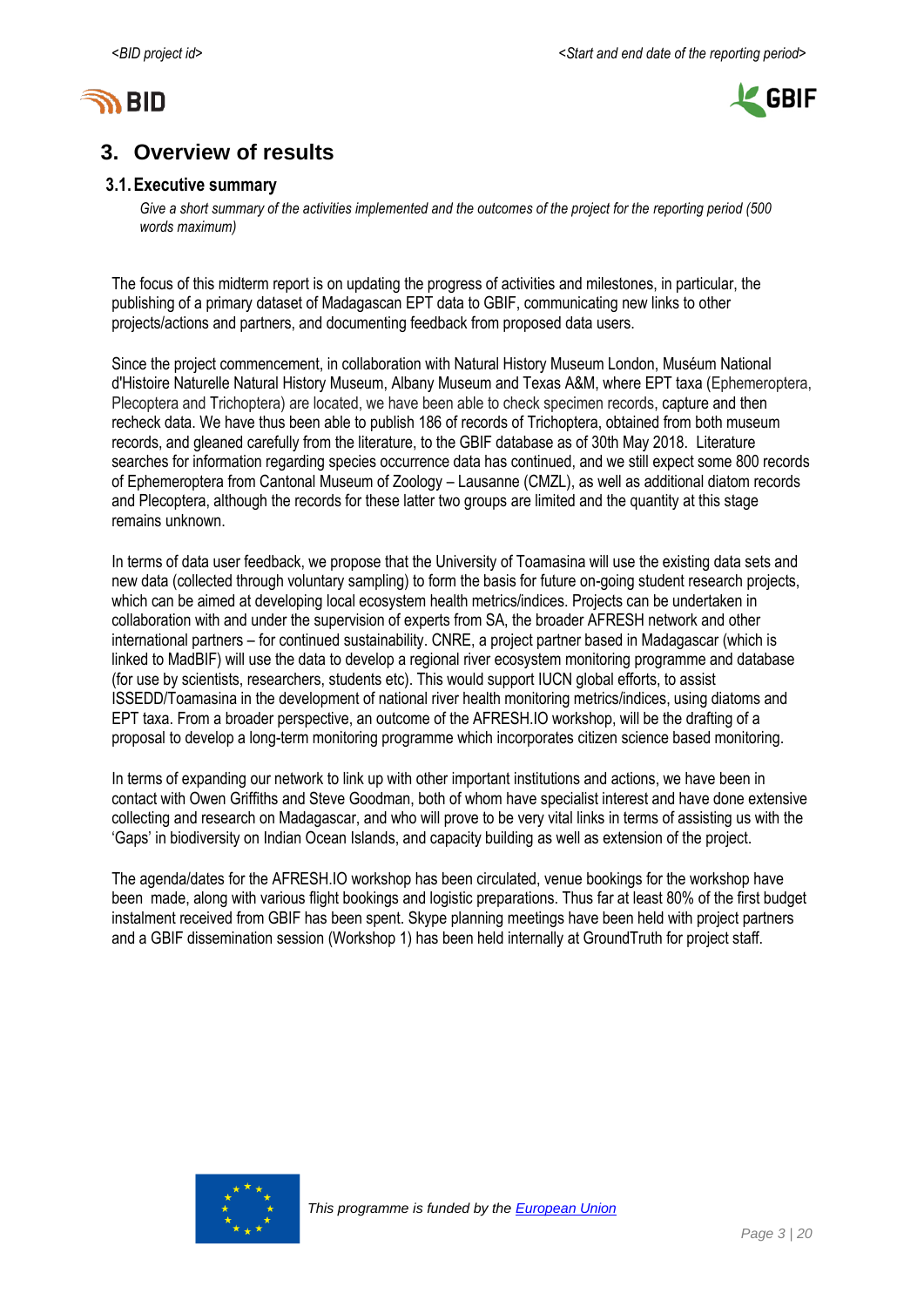



## <span id="page-2-0"></span>**3. Overview of results**

#### **3.1.Executive summary**

*Give a short summary of the activities implemented and the outcomes of the project for the reporting period (500 words maximum)*

The focus of this midterm report is on updating the progress of activities and milestones, in particular, the publishing of a primary dataset of Madagascan EPT data to GBIF, communicating new links to other projects/actions and partners, and documenting feedback from proposed data users.

Since the project commencement, in collaboration with Natural History Museum London, Muséum National d'Histoire Naturelle Natural History Museum, Albany Museum and Texas A&M, where EPT taxa (Ephemeroptera, Plecoptera and Trichoptera) are located, we have been able to check specimen records, capture and then recheck data. We have thus been able to publish 186 of records of Trichoptera, obtained from both museum records, and gleaned carefully from the literature, to the GBIF database as of 30th May 2018. Literature searches for information regarding species occurrence data has continued, and we still expect some 800 records of Ephemeroptera from Cantonal Museum of Zoology – Lausanne (CMZL), as well as additional diatom records and Plecoptera, although the records for these latter two groups are limited and the quantity at this stage remains unknown.

In terms of data user feedback, we propose that the University of Toamasina will use the existing data sets and new data (collected through voluntary sampling) to form the basis for future on-going student research projects, which can be aimed at developing local ecosystem health metrics/indices. Projects can be undertaken in collaboration with and under the supervision of experts from SA, the broader AFRESH network and other international partners – for continued sustainability. CNRE, a project partner based in Madagascar (which is linked to MadBIF) will use the data to develop a regional river ecosystem monitoring programme and database (for use by scientists, researchers, students etc). This would support IUCN global efforts, to assist ISSEDD/Toamasina in the development of national river health monitoring metrics/indices, using diatoms and EPT taxa. From a broader perspective, an outcome of the AFRESH.IO workshop, will be the drafting of a proposal to develop a long-term monitoring programme which incorporates citizen science based monitoring.

In terms of expanding our network to link up with other important institutions and actions, we have been in contact with Owen Griffiths and Steve Goodman, both of whom have specialist interest and have done extensive collecting and research on Madagascar, and who will prove to be very vital links in terms of assisting us with the 'Gaps' in biodiversity on Indian Ocean Islands, and capacity building as well as extension of the project.

The agenda/dates for the AFRESH.IO workshop has been circulated, venue bookings for the workshop have been made, along with various flight bookings and logistic preparations. Thus far at least 80% of the first budget instalment received from GBIF has been spent. Skype planning meetings have been held with project partners and a GBIF dissemination session (Workshop 1) has been held internally at GroundTruth for project staff.

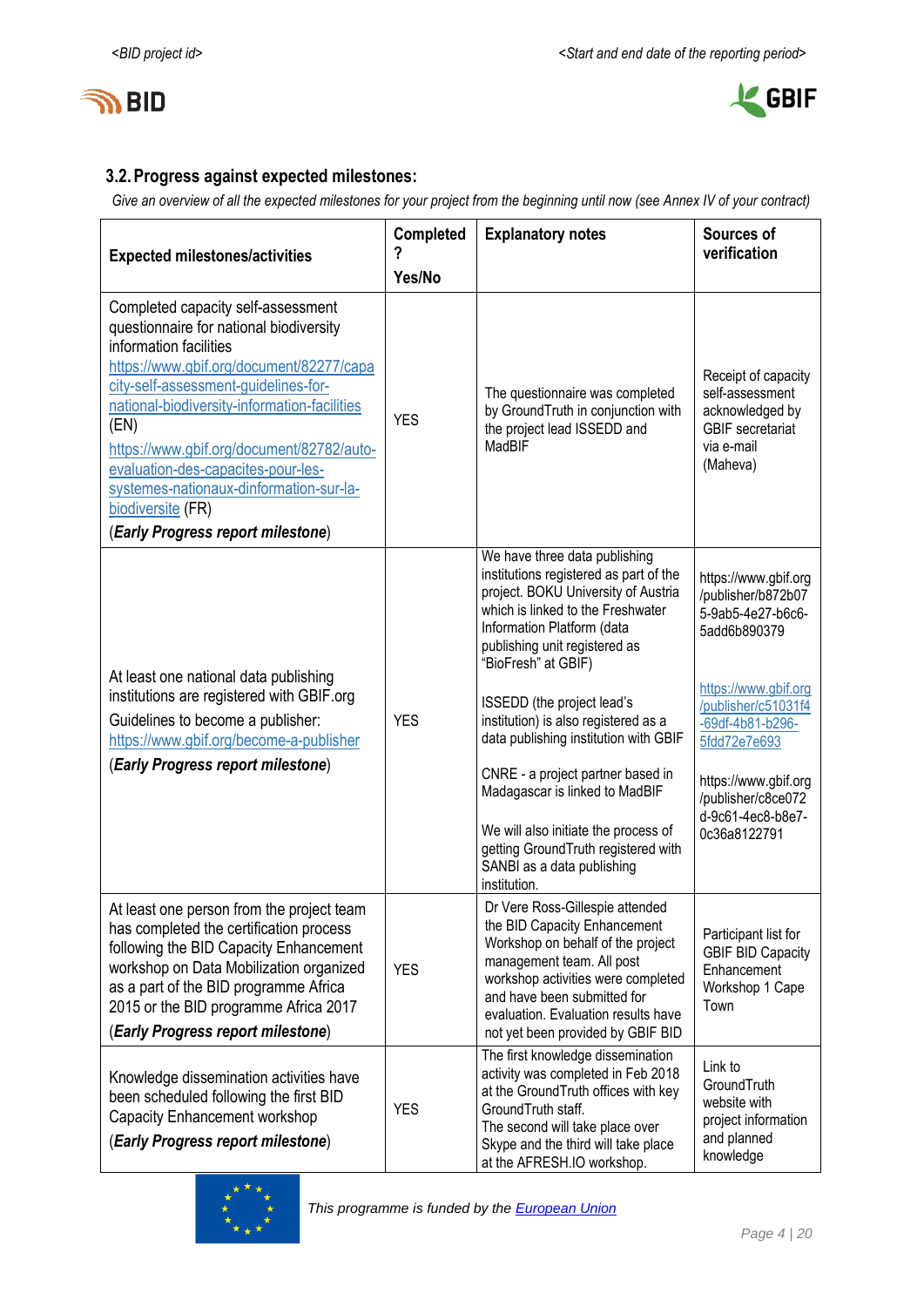



## **3.2.Progress against expected milestones:**

*Give an overview of all the expected milestones for your project from the beginning until now (see Annex IV of your contract)*

| <b>Expected milestones/activities</b>                                                                                                                                                                                                                                                                                                                                                                                                       | Completed  | <b>Explanatory notes</b>                                                                                                                                                                                                                                                                                                                                                                                                                                                                                                                                     | Sources of<br>verification                                                                                                                                                                                                                            |
|---------------------------------------------------------------------------------------------------------------------------------------------------------------------------------------------------------------------------------------------------------------------------------------------------------------------------------------------------------------------------------------------------------------------------------------------|------------|--------------------------------------------------------------------------------------------------------------------------------------------------------------------------------------------------------------------------------------------------------------------------------------------------------------------------------------------------------------------------------------------------------------------------------------------------------------------------------------------------------------------------------------------------------------|-------------------------------------------------------------------------------------------------------------------------------------------------------------------------------------------------------------------------------------------------------|
|                                                                                                                                                                                                                                                                                                                                                                                                                                             | Yes/No     |                                                                                                                                                                                                                                                                                                                                                                                                                                                                                                                                                              |                                                                                                                                                                                                                                                       |
| Completed capacity self-assessment<br>questionnaire for national biodiversity<br>information facilities<br>https://www.gbif.org/document/82277/capa<br>city-self-assessment-guidelines-for-<br>national-biodiversity-information-facilities<br>(EN)<br>https://www.gbif.org/document/82782/auto-<br>evaluation-des-capacites-pour-les-<br>systemes-nationaux-dinformation-sur-la-<br>biodiversite (FR)<br>(Early Progress report milestone) | <b>YES</b> | The questionnaire was completed<br>by GroundTruth in conjunction with<br>the project lead ISSEDD and<br>MadBIF                                                                                                                                                                                                                                                                                                                                                                                                                                               | Receipt of capacity<br>self-assessment<br>acknowledged by<br><b>GBIF</b> secretariat<br>via e-mail<br>(Maheva)                                                                                                                                        |
| At least one national data publishing<br>institutions are registered with GBIF.org<br>Guidelines to become a publisher:<br>https://www.gbif.org/become-a-publisher<br>(Early Progress report milestone)                                                                                                                                                                                                                                     | <b>YES</b> | We have three data publishing<br>institutions registered as part of the<br>project. BOKU University of Austria<br>which is linked to the Freshwater<br>Information Platform (data<br>publishing unit registered as<br>"BioFresh" at GBIF)<br>ISSEDD (the project lead's<br>institution) is also registered as a<br>data publishing institution with GBIF<br>CNRE - a project partner based in<br>Madagascar is linked to MadBIF<br>We will also initiate the process of<br>getting GroundTruth registered with<br>SANBI as a data publishing<br>institution. | https://www.gbif.org<br>/publisher/b872b07<br>5-9ab5-4e27-b6c6-<br>5add6b890379<br>https://www.gbif.org<br>/publisher/c51031f4<br>-69df-4b81-b296-<br>5fdd72e7e693<br>https://www.gbif.org<br>/publisher/c8ce072<br>d-9c61-4ec8-b8e7-<br>0c36a8122791 |
| At least one person from the project team<br>has completed the certification process<br>following the BID Capacity Enhancement<br>workshop on Data Mobilization organized<br>as a part of the BID programme Africa<br>2015 or the BID programme Africa 2017<br>(Early Progress report milestone)                                                                                                                                            | <b>YES</b> | Dr Vere Ross-Gillespie attended<br>the BID Capacity Enhancement<br>Workshop on behalf of the project<br>management team. All post<br>workshop activities were completed<br>and have been submitted for<br>evaluation. Evaluation results have<br>not yet been provided by GBIF BID                                                                                                                                                                                                                                                                           | Participant list for<br><b>GBIF BID Capacity</b><br>Enhancement<br>Workshop 1 Cape<br>Town                                                                                                                                                            |
| Knowledge dissemination activities have<br>been scheduled following the first BID<br>Capacity Enhancement workshop<br>(Early Progress report milestone)                                                                                                                                                                                                                                                                                     | <b>YES</b> | The first knowledge dissemination<br>activity was completed in Feb 2018<br>at the GroundTruth offices with key<br>GroundTruth staff.<br>The second will take place over<br>Skype and the third will take place<br>at the AFRESH.IO workshop.                                                                                                                                                                                                                                                                                                                 | Link to<br>GroundTruth<br>website with<br>project information<br>and planned<br>knowledge                                                                                                                                                             |

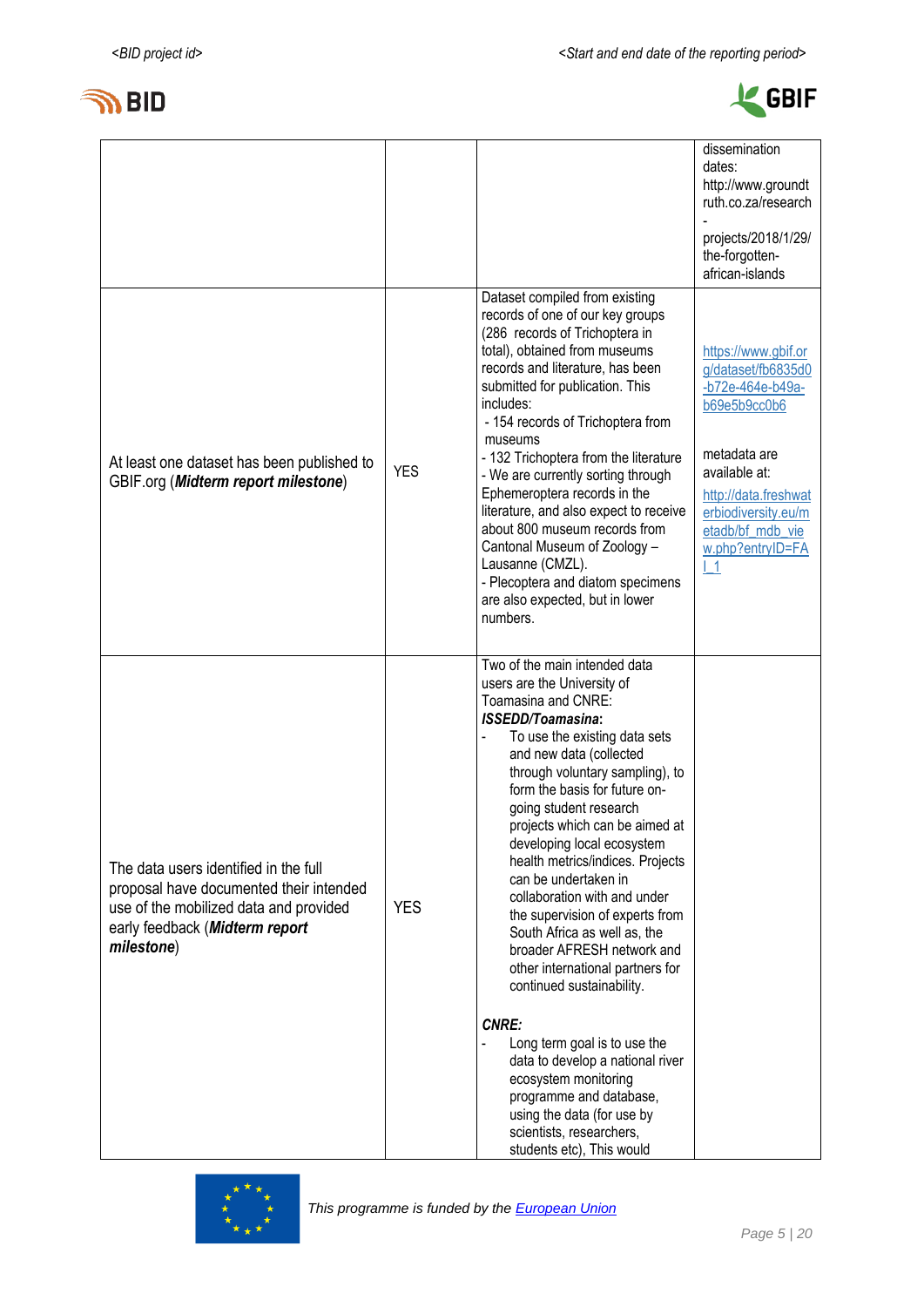



|                                                                                                                                                                            |            |                                                                                                                                                                                                                                                                                                                                                                                                                                                                                                                                                                                                                                                                                                                                                                                                                                       | dissemination<br>dates:<br>http://www.groundt<br>ruth.co.za/research<br>projects/2018/1/29/<br>the-forgotten-                                                                                               |
|----------------------------------------------------------------------------------------------------------------------------------------------------------------------------|------------|---------------------------------------------------------------------------------------------------------------------------------------------------------------------------------------------------------------------------------------------------------------------------------------------------------------------------------------------------------------------------------------------------------------------------------------------------------------------------------------------------------------------------------------------------------------------------------------------------------------------------------------------------------------------------------------------------------------------------------------------------------------------------------------------------------------------------------------|-------------------------------------------------------------------------------------------------------------------------------------------------------------------------------------------------------------|
|                                                                                                                                                                            |            |                                                                                                                                                                                                                                                                                                                                                                                                                                                                                                                                                                                                                                                                                                                                                                                                                                       | african-islands                                                                                                                                                                                             |
| At least one dataset has been published to<br>GBIF.org (Midterm report milestone)                                                                                          | <b>YES</b> | Dataset compiled from existing<br>records of one of our key groups<br>(286 records of Trichoptera in<br>total), obtained from museums<br>records and literature, has been<br>submitted for publication. This<br>includes:<br>- 154 records of Trichoptera from<br>museums<br>- 132 Trichoptera from the literature<br>- We are currently sorting through<br>Ephemeroptera records in the<br>literature, and also expect to receive<br>about 800 museum records from<br>Cantonal Museum of Zoology -<br>Lausanne (CMZL).<br>- Plecoptera and diatom specimens<br>are also expected, but in lower<br>numbers.                                                                                                                                                                                                                           | https://www.gbif.or<br>g/dataset/fb6835d0<br>-b72e-464e-b49a-<br>b69e5b9cc0b6<br>metadata are<br>available at:<br>http://data.freshwat<br>erbiodiversity.eu/m<br>etadb/bf mdb vie<br>w.php?entryID=FA<br>L1 |
| The data users identified in the full<br>proposal have documented their intended<br>use of the mobilized data and provided<br>early feedback (Midterm report<br>milestone) | <b>YES</b> | Two of the main intended data<br>users are the University of<br>Toamasina and CNRE:<br><b>ISSEDD/Toamasina:</b><br>To use the existing data sets<br>and new data (collected<br>through voluntary sampling), to<br>form the basis for future on-<br>going student research<br>projects which can be aimed at<br>developing local ecosystem<br>health metrics/indices. Projects<br>can be undertaken in<br>collaboration with and under<br>the supervision of experts from<br>South Africa as well as, the<br>broader AFRESH network and<br>other international partners for<br>continued sustainability.<br><b>CNRE:</b><br>Long term goal is to use the<br>data to develop a national river<br>ecosystem monitoring<br>programme and database,<br>using the data (for use by<br>scientists, researchers,<br>students etc), This would |                                                                                                                                                                                                             |

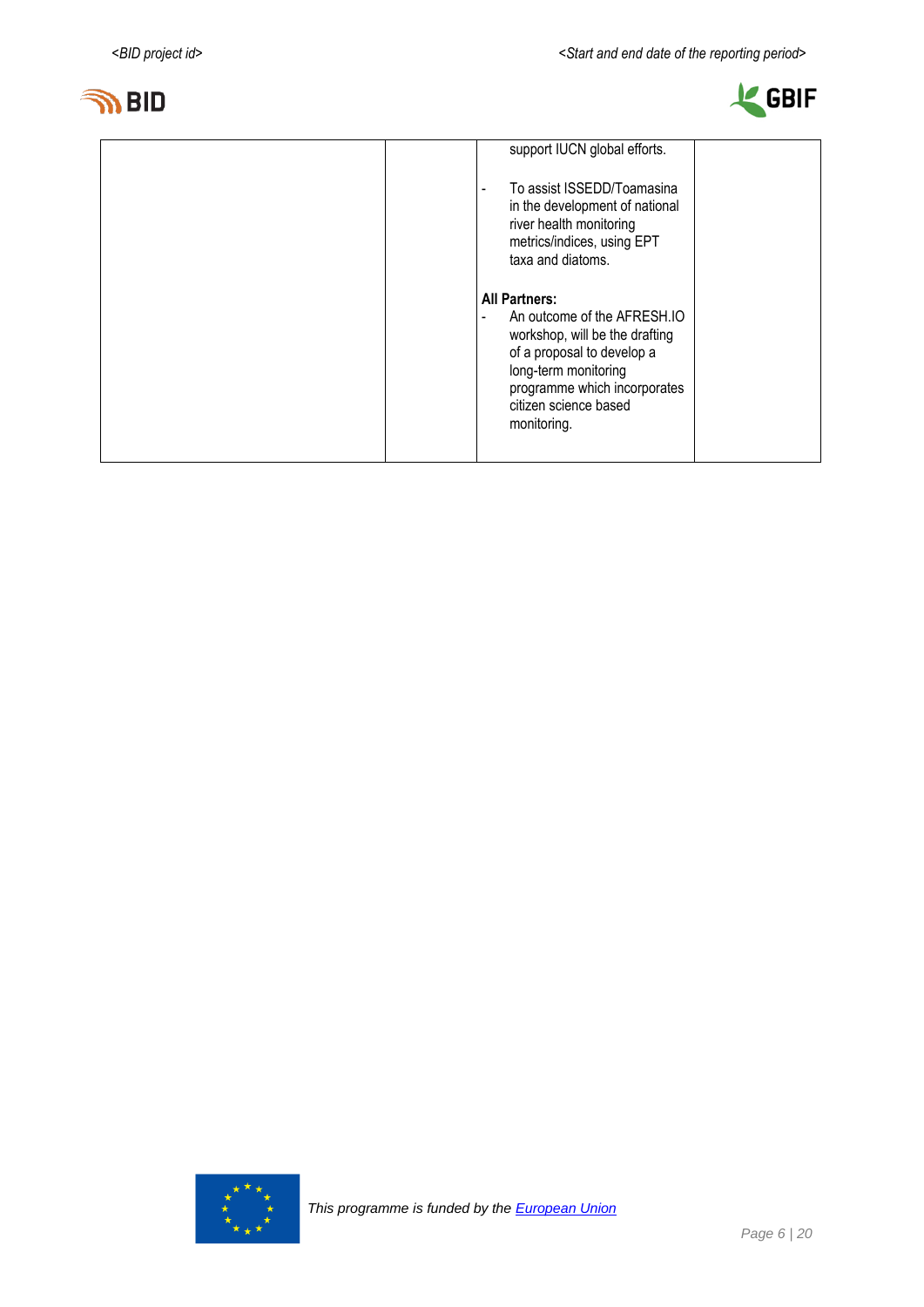



| support IUCN global efforts.<br>To assist ISSEDD/Toamasina<br>$\blacksquare$<br>in the development of national<br>river health monitoring<br>metrics/indices, using EPT<br>taxa and diatoms.                        |
|---------------------------------------------------------------------------------------------------------------------------------------------------------------------------------------------------------------------|
| <b>All Partners:</b><br>An outcome of the AFRESH.IO<br>workshop, will be the drafting<br>of a proposal to develop a<br>long-term monitoring<br>programme which incorporates<br>citizen science based<br>monitoring. |

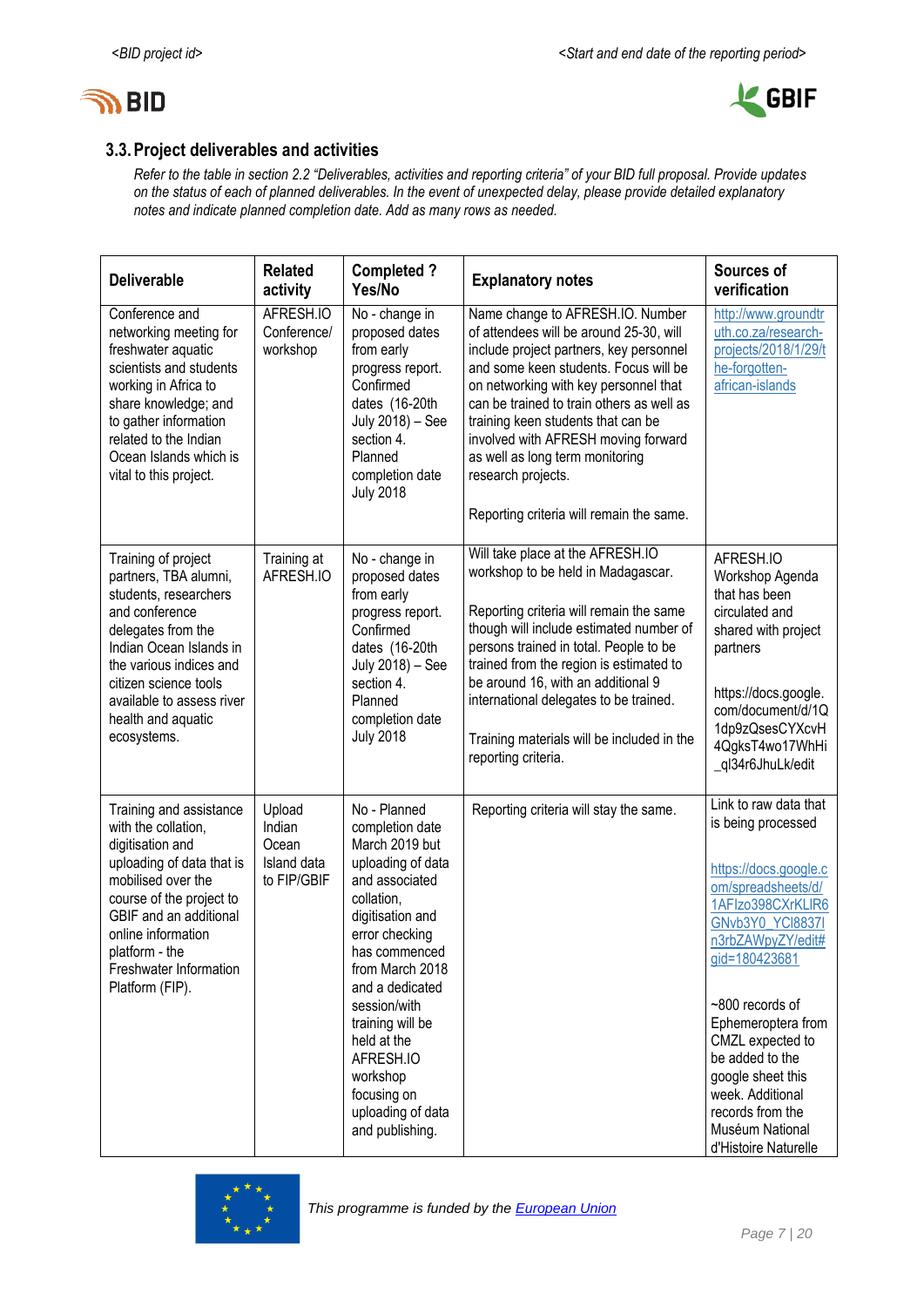



## **3.3.Project deliverables and activities**

*Refer to the table in section 2.2 "Deliverables, activities and reporting criteria" of your BID full proposal. Provide updates on the status of each of planned deliverables. In the event of unexpected delay, please provide detailed explanatory notes and indicate planned completion date. Add as many rows as needed.*

| <b>Deliverable</b>                                                                                                                                                                                                                                               | <b>Related</b><br>activity                              | <b>Completed?</b><br>Yes/No                                                                                                                                                                                                                                                                                                            | <b>Explanatory notes</b>                                                                                                                                                                                                                                                                                                                                                                                                                | Sources of<br>verification                                                                                                                                                                                                                                                                                                                                               |
|------------------------------------------------------------------------------------------------------------------------------------------------------------------------------------------------------------------------------------------------------------------|---------------------------------------------------------|----------------------------------------------------------------------------------------------------------------------------------------------------------------------------------------------------------------------------------------------------------------------------------------------------------------------------------------|-----------------------------------------------------------------------------------------------------------------------------------------------------------------------------------------------------------------------------------------------------------------------------------------------------------------------------------------------------------------------------------------------------------------------------------------|--------------------------------------------------------------------------------------------------------------------------------------------------------------------------------------------------------------------------------------------------------------------------------------------------------------------------------------------------------------------------|
| Conference and<br>networking meeting for<br>freshwater aquatic<br>scientists and students<br>working in Africa to<br>share knowledge; and<br>to gather information<br>related to the Indian<br>Ocean Islands which is<br>vital to this project.                  | AFRESH.IO<br>Conference/<br>workshop                    | No - change in<br>proposed dates<br>from early<br>progress report.<br>Confirmed<br>dates (16-20th<br>July 2018) - See<br>section 4.<br>Planned<br>completion date<br><b>July 2018</b>                                                                                                                                                  | Name change to AFRESH.IO. Number<br>of attendees will be around 25-30, will<br>include project partners, key personnel<br>and some keen students. Focus will be<br>on networking with key personnel that<br>can be trained to train others as well as<br>training keen students that can be<br>involved with AFRESH moving forward<br>as well as long term monitoring<br>research projects.<br>Reporting criteria will remain the same. | http://www.groundtr<br>uth.co.za/research-<br>projects/2018/1/29/t<br>he-forgotten-<br>african-islands                                                                                                                                                                                                                                                                   |
| Training of project<br>partners, TBA alumni,<br>students, researchers<br>and conference<br>delegates from the<br>Indian Ocean Islands in<br>the various indices and<br>citizen science tools<br>available to assess river<br>health and aquatic<br>ecosystems.   | Training at<br>AFRESH.IO                                | No - change in<br>proposed dates<br>from early<br>progress report.<br>Confirmed<br>dates (16-20th<br>July 2018) - See<br>section 4.<br>Planned<br>completion date<br><b>July 2018</b>                                                                                                                                                  | Will take place at the AFRESH.IO<br>workshop to be held in Madagascar.<br>Reporting criteria will remain the same<br>though will include estimated number of<br>persons trained in total. People to be<br>trained from the region is estimated to<br>be around 16, with an additional 9<br>international delegates to be trained.<br>Training materials will be included in the<br>reporting criteria.                                  | AFRESH.IO<br>Workshop Agenda<br>that has been<br>circulated and<br>shared with project<br>partners<br>https://docs.google.<br>com/document/d/1Q<br>1dp9zQsesCYXcvH<br>4QgksT4wo17WhHi<br>_ql34r6JhuLk/edit                                                                                                                                                               |
| Training and assistance<br>with the collation,<br>digitisation and<br>uploading of data that is<br>mobilised over the<br>course of the project to<br>GBIF and an additional<br>online information<br>platform - the<br>Freshwater Information<br>Platform (FIP). | Upload<br>Indian<br>Ocean<br>Island data<br>to FIP/GBIF | No - Planned<br>completion date<br>March 2019 but<br>uploading of data<br>and associated<br>collation,<br>digitisation and<br>error checking<br>has commenced<br>from March 2018<br>and a dedicated<br>session/with<br>training will be<br>held at the<br>AFRESH.IO<br>workshop<br>focusing on<br>uploading of data<br>and publishing. | Reporting criteria will stay the same.                                                                                                                                                                                                                                                                                                                                                                                                  | Link to raw data that<br>is being processed<br>https://docs.google.c<br>om/spreadsheets/d/<br>1AFIzo398CXrKLIR6<br><b>GNvb3Y0 YCI8837I</b><br>n3rbZAWpyZY/edit#<br>gid=180423681<br>~800 records of<br>Ephemeroptera from<br>CMZL expected to<br>be added to the<br>google sheet this<br>week. Additional<br>records from the<br>Muséum National<br>d'Histoire Naturelle |

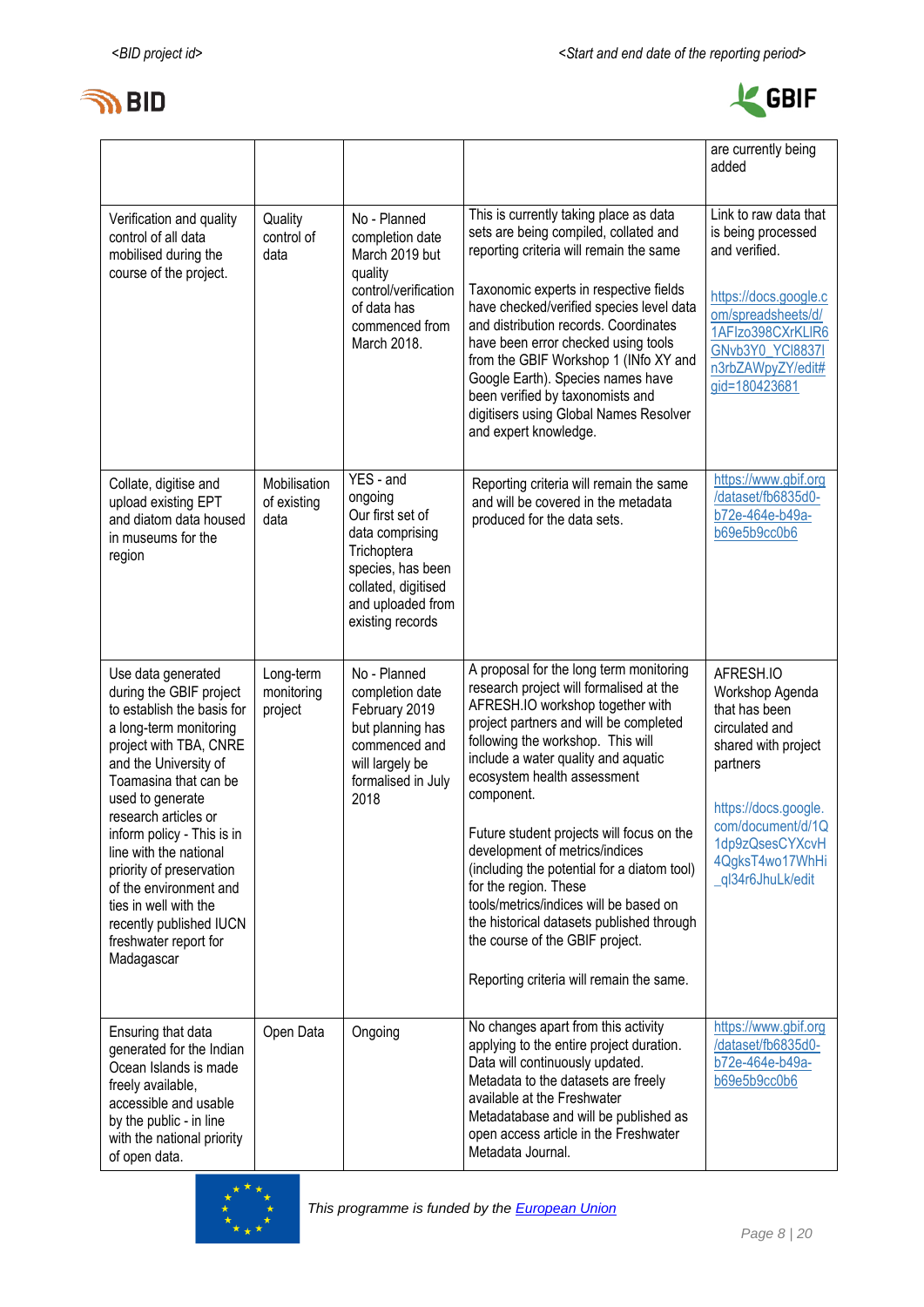



|                                                                                                                                                                                                                                                                                                                                                                                                                                        |                                     |                                                                                                                                                                 |                                                                                                                                                                                                                                                                                                                                                                                                                                                                                                                                                                                                                        | are currently being<br>added                                                                                                                                                                               |
|----------------------------------------------------------------------------------------------------------------------------------------------------------------------------------------------------------------------------------------------------------------------------------------------------------------------------------------------------------------------------------------------------------------------------------------|-------------------------------------|-----------------------------------------------------------------------------------------------------------------------------------------------------------------|------------------------------------------------------------------------------------------------------------------------------------------------------------------------------------------------------------------------------------------------------------------------------------------------------------------------------------------------------------------------------------------------------------------------------------------------------------------------------------------------------------------------------------------------------------------------------------------------------------------------|------------------------------------------------------------------------------------------------------------------------------------------------------------------------------------------------------------|
| Verification and quality<br>control of all data<br>mobilised during the<br>course of the project.                                                                                                                                                                                                                                                                                                                                      | Quality<br>control of<br>data       | No - Planned<br>completion date<br>March 2019 but<br>quality<br>control/verification<br>of data has<br>commenced from<br>March 2018.                            | This is currently taking place as data<br>sets are being compiled, collated and<br>reporting criteria will remain the same<br>Taxonomic experts in respective fields<br>have checked/verified species level data<br>and distribution records. Coordinates<br>have been error checked using tools<br>from the GBIF Workshop 1 (INfo XY and<br>Google Earth). Species names have<br>been verified by taxonomists and<br>digitisers using Global Names Resolver<br>and expert knowledge.                                                                                                                                  | Link to raw data that<br>is being processed<br>and verified.<br>https://docs.google.c<br>om/spreadsheets/d/<br>1AFIzo398CXrKLIR6<br>GNvb3Y0_YCl8837I<br>n3rbZAWpyZY/edit#<br>gid=180423681                 |
| Collate, digitise and<br>upload existing EPT<br>and diatom data housed<br>in museums for the<br>region                                                                                                                                                                                                                                                                                                                                 | Mobilisation<br>of existing<br>data | YES - and<br>ongoing<br>Our first set of<br>data comprising<br>Trichoptera<br>species, has been<br>collated, digitised<br>and uploaded from<br>existing records | Reporting criteria will remain the same<br>and will be covered in the metadata<br>produced for the data sets.                                                                                                                                                                                                                                                                                                                                                                                                                                                                                                          | https://www.gbif.org<br>/dataset/fb6835d0-<br>b72e-464e-b49a-<br>b69e5b9cc0b6                                                                                                                              |
| Use data generated<br>during the GBIF project<br>to establish the basis for<br>a long-term monitoring<br>project with TBA, CNRE<br>and the University of<br>Toamasina that can be<br>used to generate<br>research articles or<br>inform policy - This is in<br>line with the national<br>priority of preservation<br>of the environment and<br>ties in well with the<br>recently published IUCN<br>freshwater report for<br>Madagascar | Long-term<br>monitoring<br>project  | No - Planned<br>completion date<br>February 2019<br>but planning has<br>commenced and<br>will largely be<br>formalised in July<br>2018                          | A proposal for the long term monitoring<br>research project will formalised at the<br>AFRESH.IO workshop together with<br>project partners and will be completed<br>following the workshop. This will<br>include a water quality and aquatic<br>ecosystem health assessment<br>component.<br>Future student projects will focus on the<br>development of metrics/indices<br>(including the potential for a diatom tool)<br>for the region. These<br>tools/metrics/indices will be based on<br>the historical datasets published through<br>the course of the GBIF project.<br>Reporting criteria will remain the same. | AFRESH.IO<br>Workshop Agenda<br>that has been<br>circulated and<br>shared with project<br>partners<br>https://docs.google.<br>com/document/d/1Q<br>1dp9zQsesCYXcvH<br>4QgksT4wo17WhHi<br>_ql34r6JhuLk/edit |
| Ensuring that data<br>generated for the Indian<br>Ocean Islands is made<br>freely available,<br>accessible and usable<br>by the public - in line<br>with the national priority<br>of open data.                                                                                                                                                                                                                                        | Open Data                           | Ongoing                                                                                                                                                         | No changes apart from this activity<br>applying to the entire project duration.<br>Data will continuously updated.<br>Metadata to the datasets are freely<br>available at the Freshwater<br>Metadatabase and will be published as<br>open access article in the Freshwater<br>Metadata Journal.                                                                                                                                                                                                                                                                                                                        | https://www.gbif.org<br>/dataset/fb6835d0-<br>b72e-464e-b49a-<br>b69e5b9cc0b6                                                                                                                              |

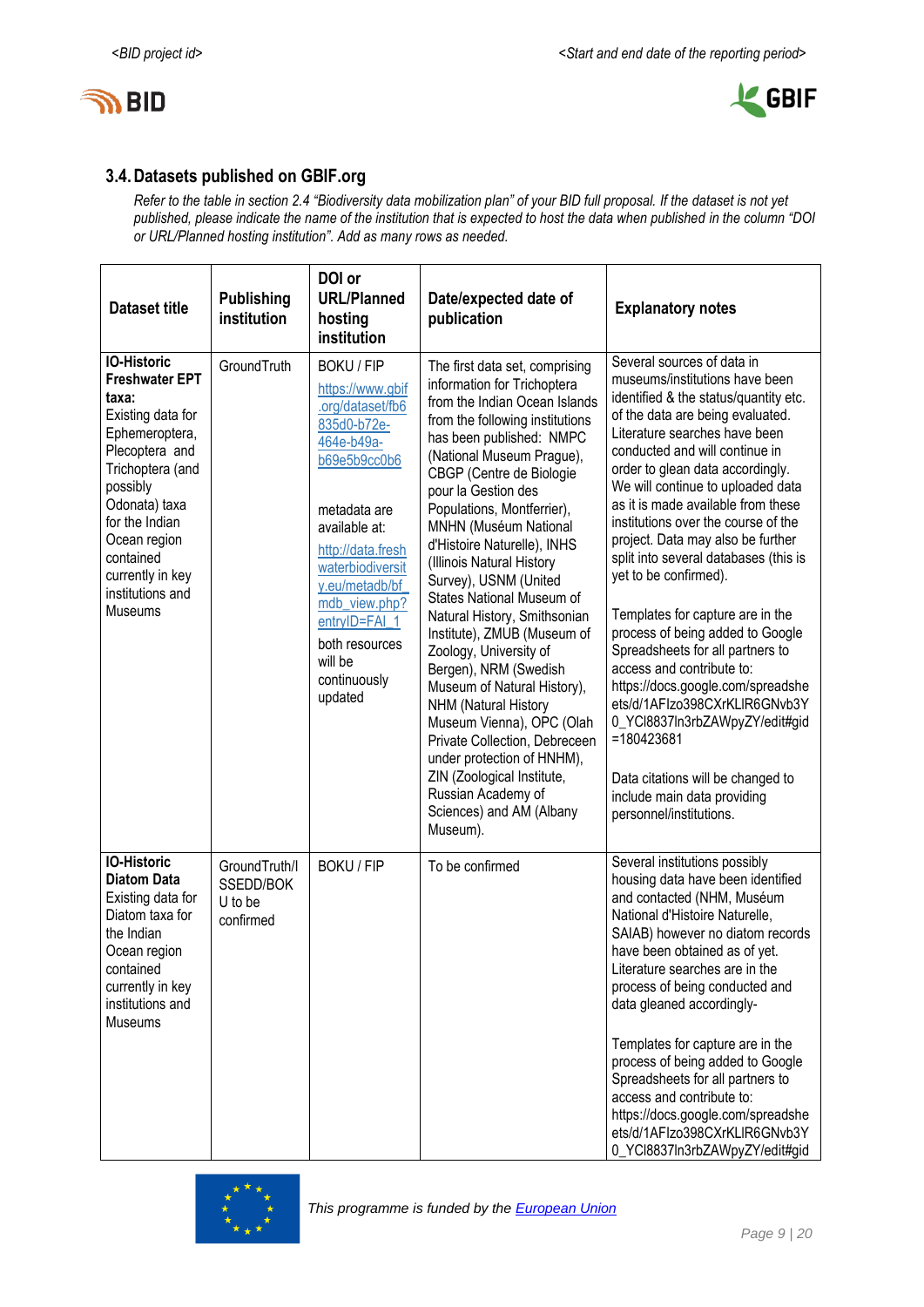



## **3.4.Datasets published on GBIF.org**

*Refer to the table in section 2.4 "Biodiversity data mobilization plan" of your BID full proposal. If the dataset is not yet published, please indicate the name of the institution that is expected to host the data when published in the column "DOI or URL/Planned hosting institution". Add as many rows as needed.*

| <b>Dataset title</b>                                                                                                                                                                                                                                                    | <b>Publishing</b><br>institution                   | DOI or<br><b>URL/Planned</b><br>hosting<br>institution                                                                                                                                                                                                                                       | Date/expected date of<br>publication                                                                                                                                                                                                                                                                                                                                                                                                                                                                                                                                                                                                                                                                                                                                                    | <b>Explanatory notes</b>                                                                                                                                                                                                                                                                                                                                                                                                                                                                                                                                                                                                                                                                                                                                                                                                                |
|-------------------------------------------------------------------------------------------------------------------------------------------------------------------------------------------------------------------------------------------------------------------------|----------------------------------------------------|----------------------------------------------------------------------------------------------------------------------------------------------------------------------------------------------------------------------------------------------------------------------------------------------|-----------------------------------------------------------------------------------------------------------------------------------------------------------------------------------------------------------------------------------------------------------------------------------------------------------------------------------------------------------------------------------------------------------------------------------------------------------------------------------------------------------------------------------------------------------------------------------------------------------------------------------------------------------------------------------------------------------------------------------------------------------------------------------------|-----------------------------------------------------------------------------------------------------------------------------------------------------------------------------------------------------------------------------------------------------------------------------------------------------------------------------------------------------------------------------------------------------------------------------------------------------------------------------------------------------------------------------------------------------------------------------------------------------------------------------------------------------------------------------------------------------------------------------------------------------------------------------------------------------------------------------------------|
| <b>IO-Historic</b><br><b>Freshwater EPT</b><br>taxa:<br>Existing data for<br>Ephemeroptera,<br>Plecoptera and<br>Trichoptera (and<br>possibly<br>Odonata) taxa<br>for the Indian<br>Ocean region<br>contained<br>currently in key<br>institutions and<br><b>Museums</b> | GroundTruth                                        | <b>BOKU / FIP</b><br>https://www.gbif<br>.org/dataset/fb6<br>835d0-b72e-<br>464e-b49a-<br>b69e5b9cc0b6<br>metadata are<br>available at:<br>http://data.fresh<br>waterbiodiversit<br>y.eu/metadb/bf<br>mdb_view.php?<br>entryID=FAI_1<br>both resources<br>will be<br>continuously<br>updated | The first data set, comprising<br>information for Trichoptera<br>from the Indian Ocean Islands<br>from the following institutions<br>has been published: NMPC<br>(National Museum Prague),<br>CBGP (Centre de Biologie<br>pour la Gestion des<br>Populations, Montferrier),<br>MNHN (Muséum National<br>d'Histoire Naturelle), INHS<br>(Illinois Natural History<br>Survey), USNM (United<br>States National Museum of<br>Natural History, Smithsonian<br>Institute), ZMUB (Museum of<br>Zoology, University of<br>Bergen), NRM (Swedish<br>Museum of Natural History),<br>NHM (Natural History<br>Museum Vienna), OPC (Olah<br>Private Collection, Debreceen<br>under protection of HNHM),<br>ZIN (Zoological Institute,<br>Russian Academy of<br>Sciences) and AM (Albany<br>Museum). | Several sources of data in<br>museums/institutions have been<br>identified & the status/quantity etc.<br>of the data are being evaluated.<br>Literature searches have been<br>conducted and will continue in<br>order to glean data accordingly.<br>We will continue to uploaded data<br>as it is made available from these<br>institutions over the course of the<br>project. Data may also be further<br>split into several databases (this is<br>yet to be confirmed).<br>Templates for capture are in the<br>process of being added to Google<br>Spreadsheets for all partners to<br>access and contribute to:<br>https://docs.google.com/spreadshe<br>ets/d/1AFIzo398CXrKLIR6GNvb3Y<br>0_YCl8837In3rbZAWpyZY/edit#gid<br>=180423681<br>Data citations will be changed to<br>include main data providing<br>personnel/institutions. |
| <b>IO-Historic</b><br><b>Diatom Data</b><br>Existing data for<br>Diatom taxa for<br>the Indian<br>Ocean region<br>contained<br>currently in key<br>institutions and<br>Museums                                                                                          | GroundTruth/I<br>SSEDD/BOK<br>U to be<br>confirmed | <b>BOKU / FIP</b>                                                                                                                                                                                                                                                                            | To be confirmed                                                                                                                                                                                                                                                                                                                                                                                                                                                                                                                                                                                                                                                                                                                                                                         | Several institutions possibly<br>housing data have been identified<br>and contacted (NHM, Muséum<br>National d'Histoire Naturelle,<br>SAIAB) however no diatom records<br>have been obtained as of yet.<br>Literature searches are in the<br>process of being conducted and<br>data gleaned accordingly-<br>Templates for capture are in the<br>process of being added to Google<br>Spreadsheets for all partners to<br>access and contribute to:<br>https://docs.google.com/spreadshe<br>ets/d/1AFIzo398CXrKLIR6GNvb3Y<br>0_YCl8837In3rbZAWpyZY/edit#gid                                                                                                                                                                                                                                                                               |

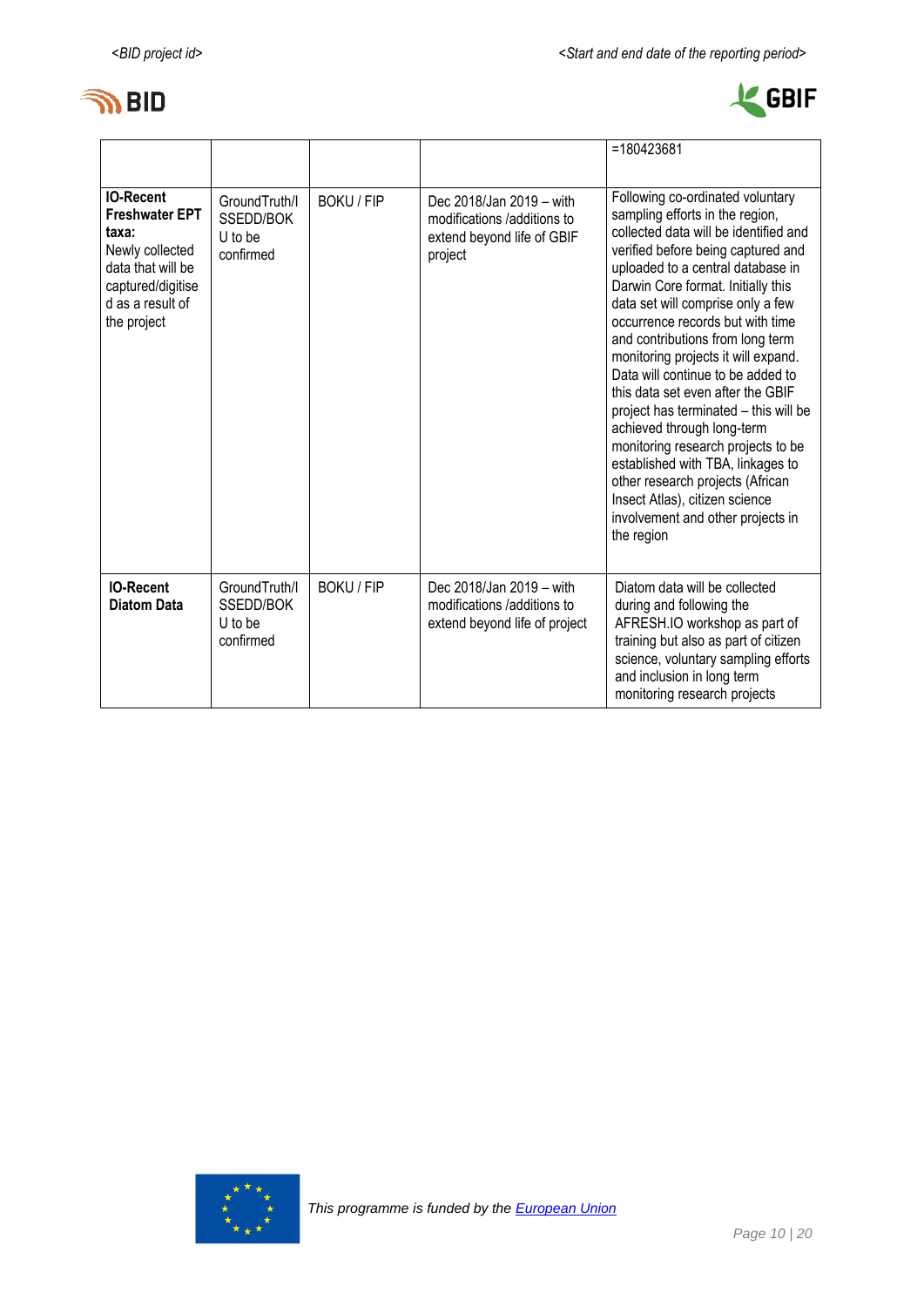



|                                                                                                                                                    |                                                    |                   |                                                                                                  | $=180423681$                                                                                                                                                                                                                                                                                                                                                                                                                                                                                                                                                                                                                                                                                                                           |
|----------------------------------------------------------------------------------------------------------------------------------------------------|----------------------------------------------------|-------------------|--------------------------------------------------------------------------------------------------|----------------------------------------------------------------------------------------------------------------------------------------------------------------------------------------------------------------------------------------------------------------------------------------------------------------------------------------------------------------------------------------------------------------------------------------------------------------------------------------------------------------------------------------------------------------------------------------------------------------------------------------------------------------------------------------------------------------------------------------|
| <b>IO-Recent</b><br><b>Freshwater EPT</b><br>taxa:<br>Newly collected<br>data that will be<br>captured/digitise<br>d as a result of<br>the project | GroundTruth/I<br>SSEDD/BOK<br>U to be<br>confirmed | <b>BOKU / FIP</b> | Dec 2018/Jan 2019 - with<br>modifications /additions to<br>extend beyond life of GBIF<br>project | Following co-ordinated voluntary<br>sampling efforts in the region,<br>collected data will be identified and<br>verified before being captured and<br>uploaded to a central database in<br>Darwin Core format. Initially this<br>data set will comprise only a few<br>occurrence records but with time<br>and contributions from long term<br>monitoring projects it will expand.<br>Data will continue to be added to<br>this data set even after the GBIF<br>project has terminated - this will be<br>achieved through long-term<br>monitoring research projects to be<br>established with TBA, linkages to<br>other research projects (African<br>Insect Atlas), citizen science<br>involvement and other projects in<br>the region |
| <b>IO-Recent</b><br><b>Diatom Data</b>                                                                                                             | GroundTruth/I<br>SSEDD/BOK<br>U to be<br>confirmed | <b>BOKU / FIP</b> | Dec 2018/Jan 2019 - with<br>modifications /additions to<br>extend beyond life of project         | Diatom data will be collected<br>during and following the<br>AFRESH.IO workshop as part of<br>training but also as part of citizen<br>science, voluntary sampling efforts<br>and inclusion in long term<br>monitoring research projects                                                                                                                                                                                                                                                                                                                                                                                                                                                                                                |

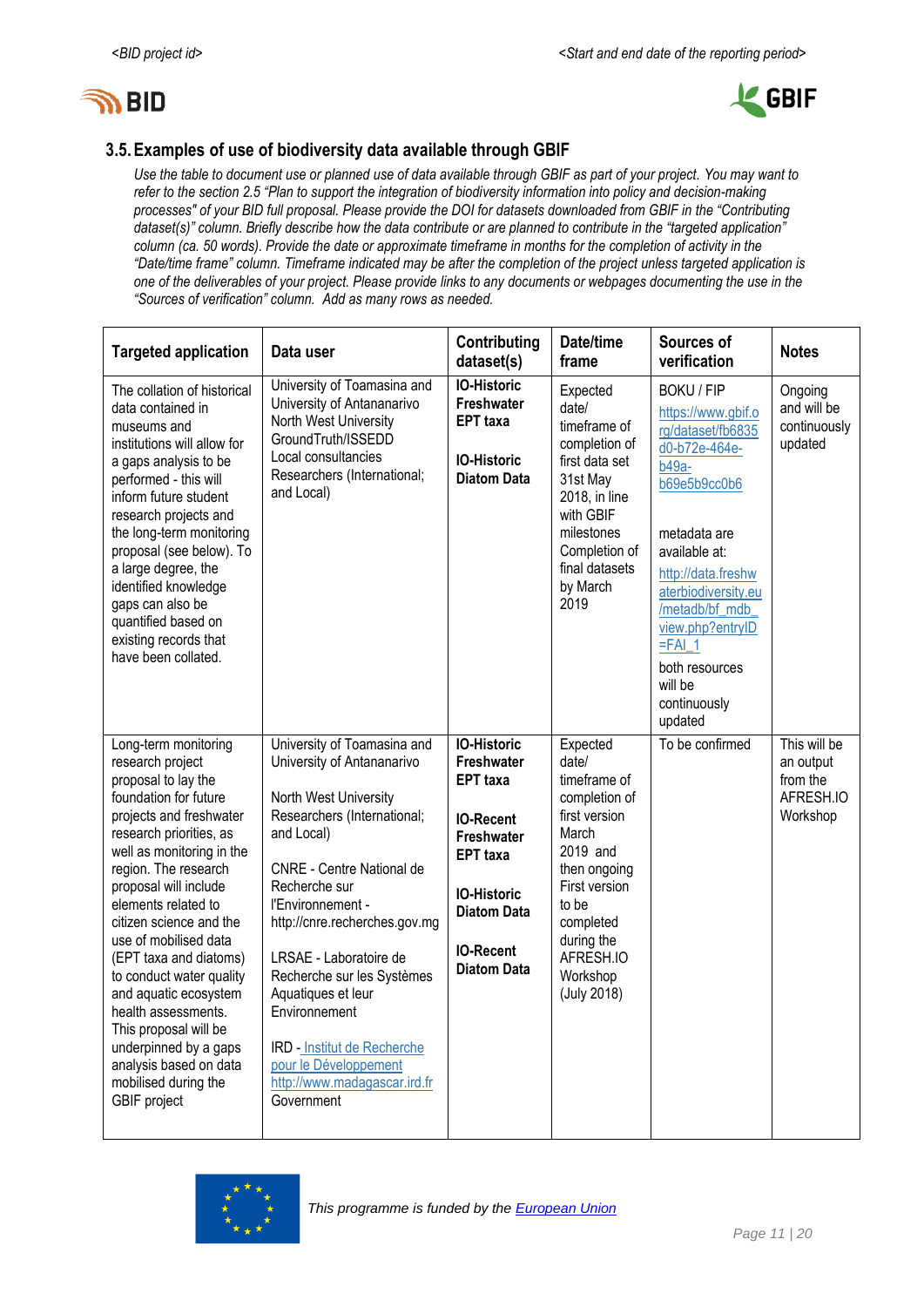



## **3.5.Examples of use of biodiversity data available through GBIF**

*Use the table to document use or planned use of data available through GBIF as part of your project. You may want to refer to the section 2.5 "Plan to support the integration of biodiversity information into policy and decision-making processes" of your BID full proposal. Please provide the DOI for datasets downloaded from GBIF in the "Contributing dataset(s)" column. Briefly describe how the data contribute or are planned to contribute in the "targeted application" column (ca. 50 words). Provide the date or approximate timeframe in months for the completion of activity in the "Date/time frame" column. Timeframe indicated may be after the completion of the project unless targeted application is one of the deliverables of your project. Please provide links to any documents or webpages documenting the use in the "Sources of verification" column. Add as many rows as needed.*

| <b>Targeted application</b>                                                                                                                                                                                                                                                                                                                                                                                                                                                                                                              | Data user                                                                                                                                                                                                                                                                                                                                                                                                                                              | Contributing<br>dataset(s)                                                                                                                                                                            | Date/time<br>frame                                                                                                                                                                                    | Sources of<br>verification                                                                                                                                                                                                                                                                        | <b>Notes</b>                                                   |
|------------------------------------------------------------------------------------------------------------------------------------------------------------------------------------------------------------------------------------------------------------------------------------------------------------------------------------------------------------------------------------------------------------------------------------------------------------------------------------------------------------------------------------------|--------------------------------------------------------------------------------------------------------------------------------------------------------------------------------------------------------------------------------------------------------------------------------------------------------------------------------------------------------------------------------------------------------------------------------------------------------|-------------------------------------------------------------------------------------------------------------------------------------------------------------------------------------------------------|-------------------------------------------------------------------------------------------------------------------------------------------------------------------------------------------------------|---------------------------------------------------------------------------------------------------------------------------------------------------------------------------------------------------------------------------------------------------------------------------------------------------|----------------------------------------------------------------|
| The collation of historical<br>data contained in<br>museums and<br>institutions will allow for<br>a gaps analysis to be<br>performed - this will<br>inform future student<br>research projects and<br>the long-term monitoring<br>proposal (see below). To<br>a large degree, the<br>identified knowledge<br>gaps can also be<br>quantified based on<br>existing records that<br>have been collated.                                                                                                                                     | University of Toamasina and<br>University of Antananarivo<br>North West University<br>GroundTruth/ISSEDD<br>Local consultancies<br>Researchers (International;<br>and Local)                                                                                                                                                                                                                                                                           | <b>IO-Historic</b><br><b>Freshwater</b><br><b>EPT</b> taxa<br><b>IO-Historic</b><br><b>Diatom Data</b>                                                                                                | Expected<br>date/<br>timeframe of<br>completion of<br>first data set<br>31st May<br>2018, in line<br>with GBIF<br>milestones<br>Completion of<br>final datasets<br>by March<br>2019                   | <b>BOKU / FIP</b><br>https://www.gbif.o<br>rg/dataset/fb6835<br>d0-b72e-464e-<br>$b49a-$<br>b69e5b9cc0b6<br>metadata are<br>available at:<br>http://data.freshw<br>aterbiodiversity.eu<br>/metadb/bf_mdb_<br>view.php?entrylD<br>$=FAI$ 1<br>both resources<br>will be<br>continuously<br>updated | Ongoing<br>and will be<br>continuously<br>updated              |
| Long-term monitoring<br>research project<br>proposal to lay the<br>foundation for future<br>projects and freshwater<br>research priorities, as<br>well as monitoring in the<br>region. The research<br>proposal will include<br>elements related to<br>citizen science and the<br>use of mobilised data<br>(EPT taxa and diatoms)<br>to conduct water quality<br>and aquatic ecosystem<br>health assessments.<br>This proposal will be<br>underpinned by a gaps<br>analysis based on data<br>mobilised during the<br><b>GBIF</b> project | University of Toamasina and<br>University of Antananarivo<br>North West University<br>Researchers (International;<br>and Local)<br><b>CNRE - Centre National de</b><br>Recherche sur<br>l'Environnement -<br>http://cnre.recherches.gov.mg<br>LRSAE - Laboratoire de<br>Recherche sur les Systèmes<br>Aquatiques et leur<br>Environnement<br><b>IRD</b> - Institut de Recherche<br>pour le Développement<br>http://www.madagascar.ird.fr<br>Government | <b>IO-Historic</b><br>Freshwater<br><b>EPT</b> taxa<br><b>IO-Recent</b><br><b>Freshwater</b><br><b>EPT</b> taxa<br><b>IO-Historic</b><br><b>Diatom Data</b><br><b>IO-Recent</b><br><b>Diatom Data</b> | Expected<br>date/<br>timeframe of<br>completion of<br>first version<br>March<br>2019 and<br>then ongoing<br>First version<br>to be<br>completed<br>during the<br>AFRESH.IO<br>Workshop<br>(July 2018) | To be confirmed                                                                                                                                                                                                                                                                                   | This will be<br>an output<br>from the<br>AFRESH.IO<br>Workshop |

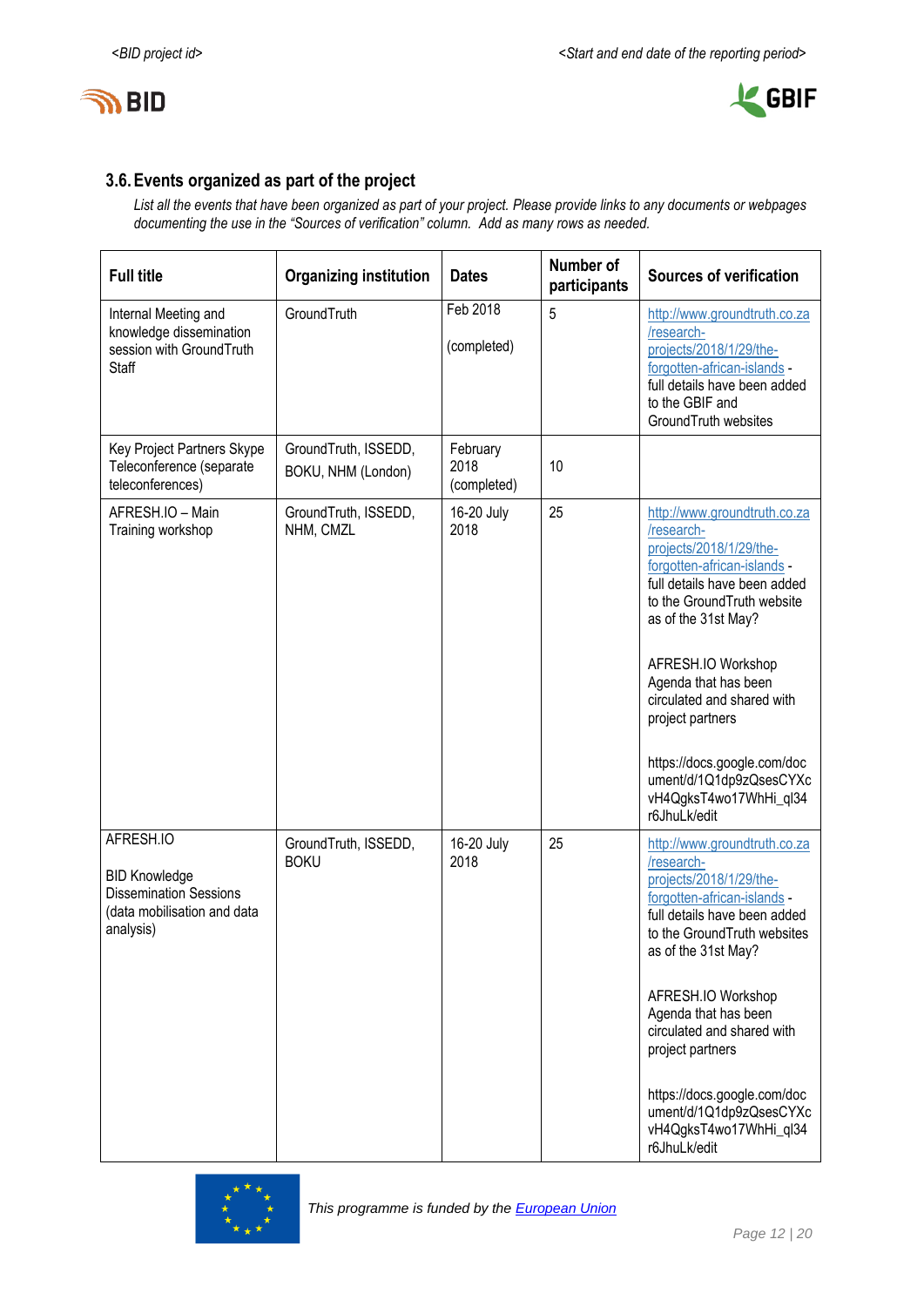



## **3.6.Events organized as part of the project**

*List all the events that have been organized as part of your project. Please provide links to any documents or webpages documenting the use in the "Sources of verification" column. Add as many rows as needed.*

| <b>Full title</b>                                                                                              | <b>Organizing institution</b>              | <b>Dates</b>                    | Number of<br>participants | <b>Sources of verification</b>                                                                                                                                                                                                                                                                                                                                                                 |
|----------------------------------------------------------------------------------------------------------------|--------------------------------------------|---------------------------------|---------------------------|------------------------------------------------------------------------------------------------------------------------------------------------------------------------------------------------------------------------------------------------------------------------------------------------------------------------------------------------------------------------------------------------|
| Internal Meeting and<br>knowledge dissemination<br>session with GroundTruth<br>Staff                           | GroundTruth                                | Feb 2018<br>(completed)         | 5                         | http://www.groundtruth.co.za<br>/research-<br>projects/2018/1/29/the-<br>forgotten-african-islands -<br>full details have been added<br>to the GBIF and<br>GroundTruth websites                                                                                                                                                                                                                |
| Key Project Partners Skype<br>Teleconference (separate<br>teleconferences)                                     | GroundTruth, ISSEDD,<br>BOKU, NHM (London) | February<br>2018<br>(completed) | 10                        |                                                                                                                                                                                                                                                                                                                                                                                                |
| AFRESH.IO - Main<br>Training workshop                                                                          | GroundTruth, ISSEDD,<br>NHM, CMZL          | 16-20 July<br>2018              | 25                        | http://www.groundtruth.co.za<br>/research-<br>projects/2018/1/29/the-<br>forgotten-african-islands -<br>full details have been added<br>to the GroundTruth website<br>as of the 31st May?<br>AFRESH.IO Workshop<br>Agenda that has been<br>circulated and shared with<br>project partners<br>https://docs.google.com/doc<br>ument/d/1Q1dp9zQsesCYXc<br>vH4QgksT4wo17WhHi_ql34<br>r6JhuLk/edit  |
| AFRESH.IO<br><b>BID Knowledge</b><br><b>Dissemination Sessions</b><br>(data mobilisation and data<br>analysis) | GroundTruth, ISSEDD,<br><b>BOKU</b>        | 16-20 July<br>2018              | 25                        | http://www.groundtruth.co.za<br>/research-<br>projects/2018/1/29/the-<br>forgotten-african-islands -<br>full details have been added<br>to the GroundTruth websites<br>as of the 31st May?<br>AFRESH.IO Workshop<br>Agenda that has been<br>circulated and shared with<br>project partners<br>https://docs.google.com/doc<br>ument/d/1Q1dp9zQsesCYXc<br>vH4QgksT4wo17WhHi_ql34<br>r6JhuLk/edit |

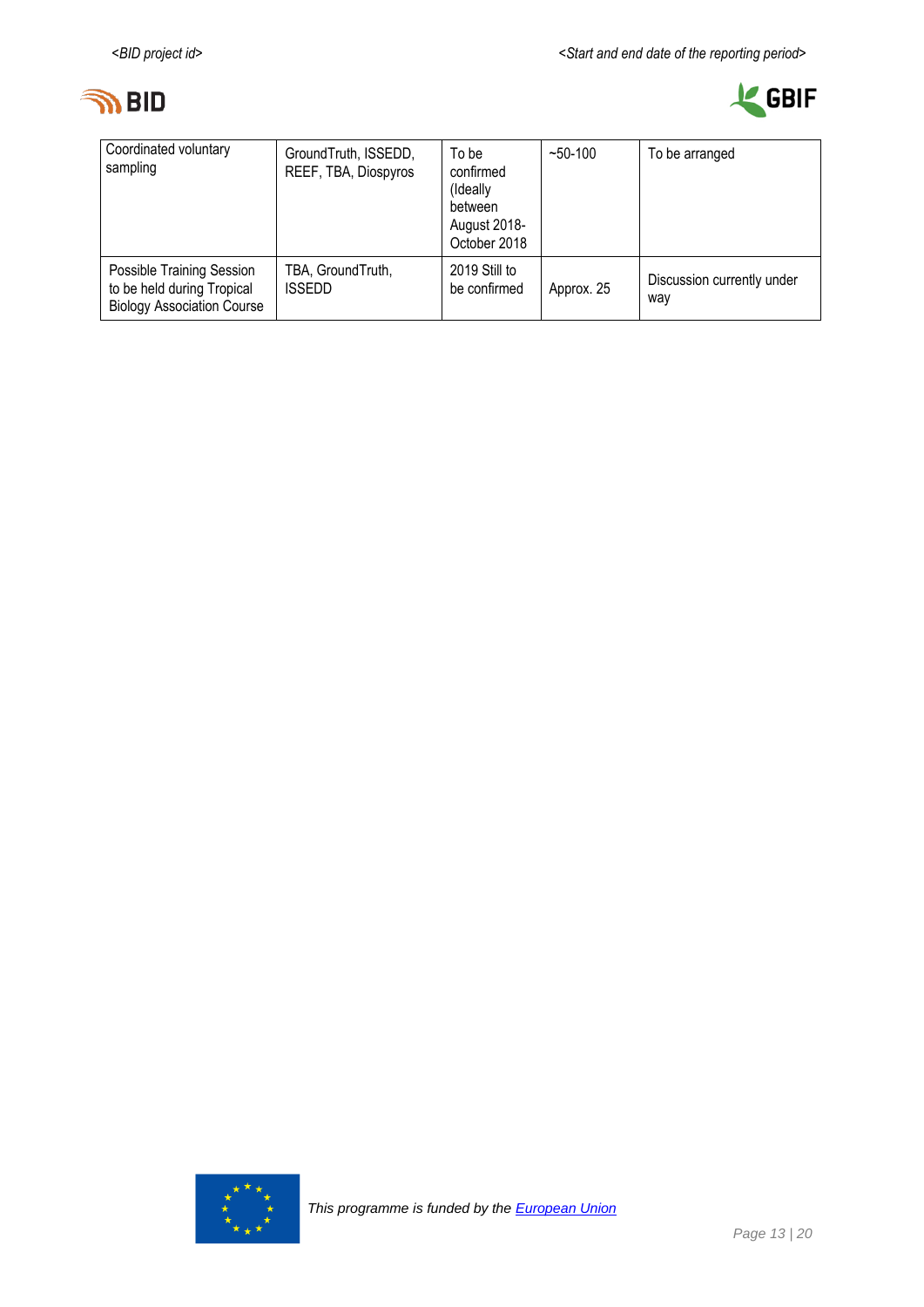



| Coordinated voluntary<br>sampling                                                            | GroundTruth, ISSEDD,<br>REEF, TBA, Diospyros | To be<br>confirmed<br>(Ideally<br>between<br>August 2018-<br>October 2018 | $~50-100$  | To be arranged                    |  |  |
|----------------------------------------------------------------------------------------------|----------------------------------------------|---------------------------------------------------------------------------|------------|-----------------------------------|--|--|
| Possible Training Session<br>to be held during Tropical<br><b>Biology Association Course</b> | TBA, GroundTruth,<br><b>ISSEDD</b>           | 2019 Still to<br>be confirmed                                             | Approx. 25 | Discussion currently under<br>way |  |  |

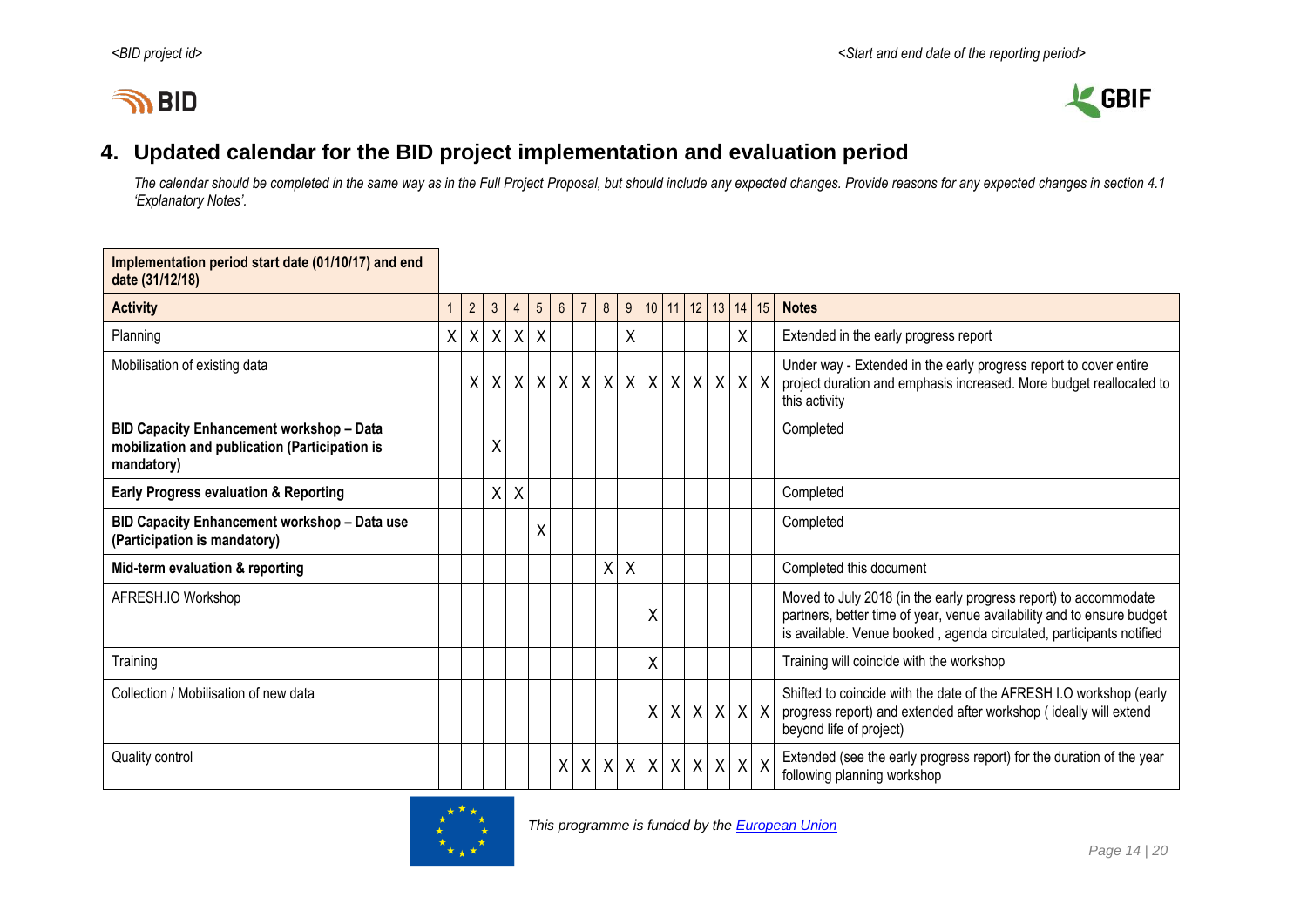# **IN BID**



## **4. Updated calendar for the BID project implementation and evaluation period**

*The calendar should be completed in the same way as in the Full Project Proposal, but should include any expected changes. Provide reasons for any expected changes in section 4.1 'Explanatory Notes'.*

<span id="page-13-0"></span>

| Implementation period start date (01/10/17) and end<br>date (31/12/18)                                          |   |             |                |                 |                 |                 |                  |                  |   |                                 |  |  |                       |                   |                                                                                                                                                                                                                    |
|-----------------------------------------------------------------------------------------------------------------|---|-------------|----------------|-----------------|-----------------|-----------------|------------------|------------------|---|---------------------------------|--|--|-----------------------|-------------------|--------------------------------------------------------------------------------------------------------------------------------------------------------------------------------------------------------------------|
| <b>Activity</b>                                                                                                 | 1 | $2^{\circ}$ | 3 <sup>5</sup> | $\overline{4}$  | $5\overline{)}$ | $6\overline{6}$ | $\overline{7}$   | 8                | 9 |                                 |  |  |                       | 10 11 12 13 14 15 | <b>Notes</b>                                                                                                                                                                                                       |
| Planning                                                                                                        | X |             | X X            | $\vert X \vert$ | $\mathsf{X}$    |                 |                  |                  | Χ |                                 |  |  | X.                    |                   | Extended in the early progress report                                                                                                                                                                              |
| Mobilisation of existing data                                                                                   |   | X           | $\times$       | $\vert X \vert$ | $\mathsf{X}$    |                 | x   x            |                  |   | $x$ $x$ $x$ $x$ $x$ $x$ $x$ $x$ |  |  |                       |                   | Under way - Extended in the early progress report to cover entire<br>project duration and emphasis increased. More budget reallocated to<br>this activity                                                          |
| <b>BID Capacity Enhancement workshop - Data</b><br>mobilization and publication (Participation is<br>mandatory) |   |             | Χ              |                 |                 |                 |                  |                  |   |                                 |  |  |                       |                   | Completed                                                                                                                                                                                                          |
| <b>Early Progress evaluation &amp; Reporting</b>                                                                |   |             | χ              | X               |                 |                 |                  |                  |   |                                 |  |  |                       |                   | Completed                                                                                                                                                                                                          |
| BID Capacity Enhancement workshop - Data use<br>(Participation is mandatory)                                    |   |             |                |                 | Χ               |                 |                  |                  |   |                                 |  |  |                       |                   | Completed                                                                                                                                                                                                          |
| Mid-term evaluation & reporting                                                                                 |   |             |                |                 |                 |                 |                  | $\sf X$          | X |                                 |  |  |                       |                   | Completed this document                                                                                                                                                                                            |
| AFRESH.IO Workshop                                                                                              |   |             |                |                 |                 |                 |                  |                  |   | Χ                               |  |  |                       |                   | Moved to July 2018 (in the early progress report) to accommodate<br>partners, better time of year, venue availability and to ensure budget<br>is available. Venue booked, agenda circulated, participants notified |
| Training                                                                                                        |   |             |                |                 |                 |                 |                  |                  |   | Χ                               |  |  |                       |                   | Training will coincide with the workshop                                                                                                                                                                           |
| Collection / Mobilisation of new data                                                                           |   |             |                |                 |                 |                 |                  |                  |   |                                 |  |  | x   x   x   x   x   x |                   | Shifted to coincide with the date of the AFRESH I.O workshop (early<br>progress report) and extended after workshop (ideally will extend<br>beyond life of project)                                                |
| Quality control                                                                                                 |   |             |                |                 |                 | X               | $\boldsymbol{X}$ | $\boldsymbol{X}$ |   | X X X X                         |  |  | $X$ $X$ $X$           |                   | Extended (see the early progress report) for the duration of the year<br>following planning workshop                                                                                                               |

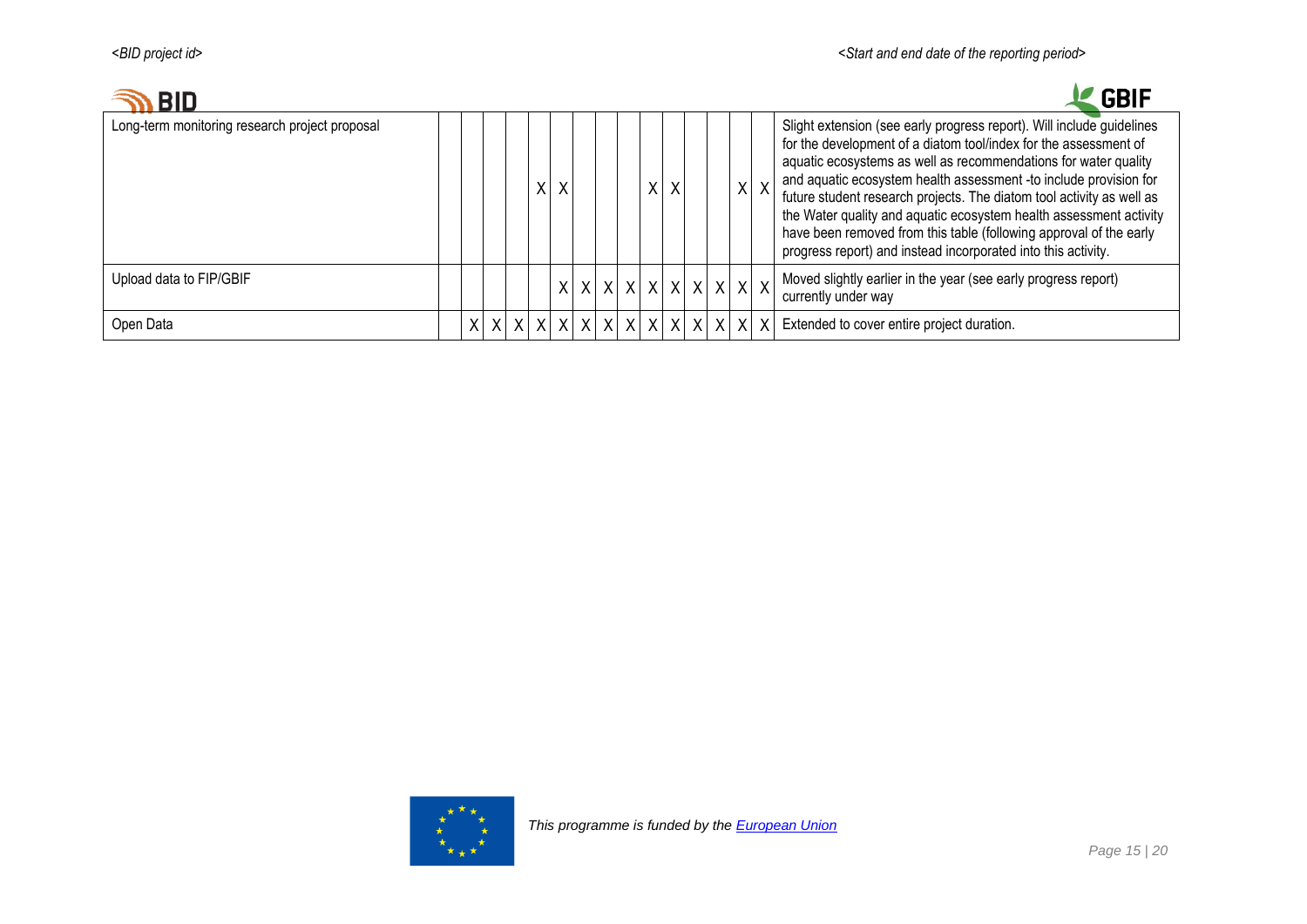| <b>BID</b>                                     |   |  |   |   |   |                                       |         |   |         |     | <b>GBIF</b>                                                                                                                                                                                                                                                                                                                                                                                                                                                                                                                                                             |
|------------------------------------------------|---|--|---|---|---|---------------------------------------|---------|---|---------|-----|-------------------------------------------------------------------------------------------------------------------------------------------------------------------------------------------------------------------------------------------------------------------------------------------------------------------------------------------------------------------------------------------------------------------------------------------------------------------------------------------------------------------------------------------------------------------------|
| Long-term monitoring research project proposal |   |  | Χ | X |   |                                       | χ       |   |         | X X | Slight extension (see early progress report). Will include guidelines<br>for the development of a diatom tool/index for the assessment of<br>aquatic ecosystems as well as recommendations for water quality<br>and aquatic ecosystem health assessment -to include provision for<br>future student research projects. The diatom tool activity as well as<br>the Water quality and aquatic ecosystem health assessment activity<br>have been removed from this table (following approval of the early<br>progress report) and instead incorporated into this activity. |
| Upload data to FIP/GBIF                        |   |  |   |   |   | x   x   x   x   x   x   x   x   x   x |         |   |         |     | Moved slightly earlier in the year (see early progress report)<br>currently under way                                                                                                                                                                                                                                                                                                                                                                                                                                                                                   |
| Open Data                                      | X |  |   |   | X |                                       | $X$ $X$ | X | X X X X |     | Extended to cover entire project duration.                                                                                                                                                                                                                                                                                                                                                                                                                                                                                                                              |

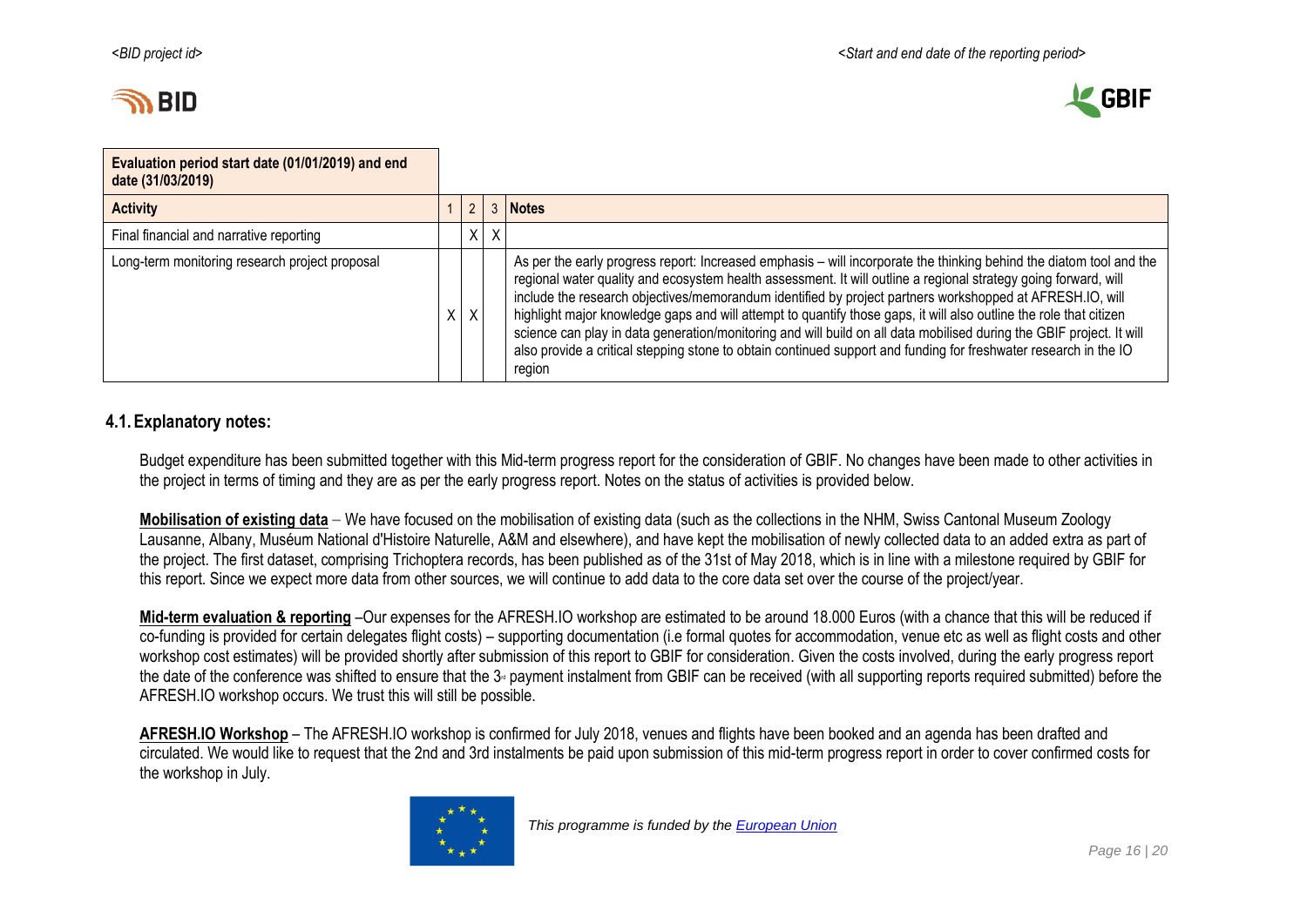



| Evaluation period start date (01/01/2019) and end<br>date (31/03/2019) |   |    |         |                                                                                                                                                                                                                                                                                                                                                                                                                                                                                                                                                                                                                                                                                                                                |
|------------------------------------------------------------------------|---|----|---------|--------------------------------------------------------------------------------------------------------------------------------------------------------------------------------------------------------------------------------------------------------------------------------------------------------------------------------------------------------------------------------------------------------------------------------------------------------------------------------------------------------------------------------------------------------------------------------------------------------------------------------------------------------------------------------------------------------------------------------|
| <b>Activity</b>                                                        |   | ົ  |         | <b>Notes</b>                                                                                                                                                                                                                                                                                                                                                                                                                                                                                                                                                                                                                                                                                                                   |
| Final financial and narrative reporting                                |   |    | $X$ $X$ |                                                                                                                                                                                                                                                                                                                                                                                                                                                                                                                                                                                                                                                                                                                                |
| Long-term monitoring research project proposal                         | χ | X. |         | As per the early progress report: Increased emphasis – will incorporate the thinking behind the diatom tool and the<br>regional water quality and ecosystem health assessment. It will outline a regional strategy going forward, will<br>include the research objectives/memorandum identified by project partners workshopped at AFRESH.IO, will<br>highlight major knowledge gaps and will attempt to quantify those gaps, it will also outline the role that citizen<br>science can play in data generation/monitoring and will build on all data mobilised during the GBIF project. It will<br>also provide a critical stepping stone to obtain continued support and funding for freshwater research in the IO<br>region |

## **4.1.Explanatory notes:**

Budget expenditure has been submitted together with this Mid-term progress report for the consideration of GBIF. No changes have been made to other activities in the project in terms of timing and they are as per the early progress report. Notes on the status of activities is provided below.

**Mobilisation of existing data** – We have focused on the mobilisation of existing data (such as the collections in the NHM, Swiss Cantonal Museum Zoology Lausanne, Albany, Muséum National d'Histoire Naturelle, A&M and elsewhere), and have kept the mobilisation of newly collected data to an added extra as part of the project. The first dataset, comprising Trichoptera records, has been published as of the 31st of May 2018, which is in line with a milestone required by GBIF for this report. Since we expect more data from other sources, we will continue to add data to the core data set over the course of the project/year.

**Mid-term evaluation & reporting** –Our expenses for the AFRESH.IO workshop are estimated to be around 18.000 Euros (with a chance that this will be reduced if co-funding is provided for certain delegates flight costs) – supporting documentation (i.e formal quotes for accommodation, venue etc as well as flight costs and other workshop cost estimates) will be provided shortly after submission of this report to GBIF for consideration. Given the costs involved, during the early progress report the date of the conference was shifted to ensure that the  $3<sub>π</sub>$  payment instalment from GBIF can be received (with all supporting reports required submitted) before the AFRESH.IO workshop occurs. We trust this will still be possible.

**AFRESH.IO Workshop** – The AFRESH.IO workshop is confirmed for July 2018, venues and flights have been booked and an agenda has been drafted and circulated. We would like to request that the 2nd and 3rd instalments be paid upon submission of this mid-term progress report in order to cover confirmed costs for the workshop in July.

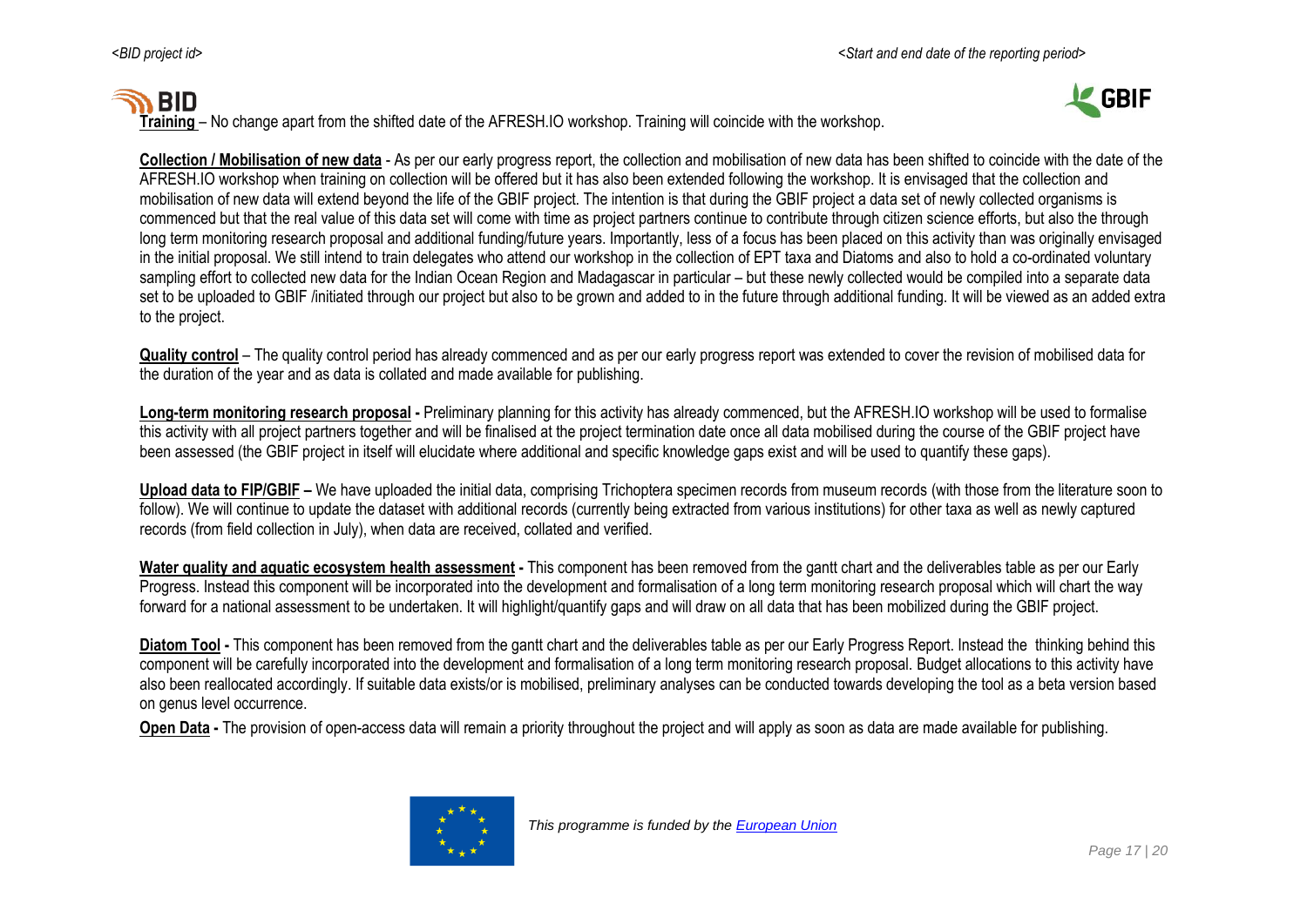# **SHIP**





**Collection / Mobilisation of new data** - As per our early progress report, the collection and mobilisation of new data has been shifted to coincide with the date of the AFRESH.IO workshop when training on collection will be offered but it has also been extended following the workshop. It is envisaged that the collection and mobilisation of new data will extend beyond the life of the GBIF project. The intention is that during the GBIF project a data set of newly collected organisms is commenced but that the real value of this data set will come with time as project partners continue to contribute through citizen science efforts, but also the through long term monitoring research proposal and additional funding/future years. Importantly, less of a focus has been placed on this activity than was originally envisaged in the initial proposal. We still intend to train delegates who attend our workshop in the collection of EPT taxa and Diatoms and also to hold a co-ordinated voluntary sampling effort to collected new data for the Indian Ocean Region and Madagascar in particular – but these newly collected would be compiled into a separate data set to be uploaded to GBIF /initiated through our project but also to be grown and added to in the future through additional funding. It will be viewed as an added extra to the project.

**Quality control** – The quality control period has already commenced and as per our early progress report was extended to cover the revision of mobilised data for the duration of the year and as data is collated and made available for publishing.

**Long-term monitoring research proposal -** Preliminary planning for this activity has already commenced, but the AFRESH.IO workshop will be used to formalise this activity with all project partners together and will be finalised at the project termination date once all data mobilised during the course of the GBIF project have been assessed (the GBIF project in itself will elucidate where additional and specific knowledge gaps exist and will be used to quantify these gaps).

Upload data to FIP/GBIF – We have uploaded the initial data, comprising Trichoptera specimen records from museum records (with those from the literature soon to follow). We will continue to update the dataset with additional records (currently being extracted from various institutions) for other taxa as well as newly captured records (from field collection in July), when data are received, collated and verified.

**Water quality and aquatic ecosystem health assessment -** This component has been removed from the gantt chart and the deliverables table as per our Early Progress. Instead this component will be incorporated into the development and formalisation of a long term monitoring research proposal which will chart the way forward for a national assessment to be undertaken. It will highlight/quantify gaps and will draw on all data that has been mobilized during the GBIF project.

**Diatom Tool -** This component has been removed from the gantt chart and the deliverables table as per our Early Progress Report. Instead the thinking behind this component will be carefully incorporated into the development and formalisation of a long term monitoring research proposal. Budget allocations to this activity have also been reallocated accordingly. If suitable data exists/or is mobilised, preliminary analyses can be conducted towards developing the tool as a beta version based on genus level occurrence.

**Open Data -** The provision of open-access data will remain a priority throughout the project and will apply as soon as data are made available for publishing.

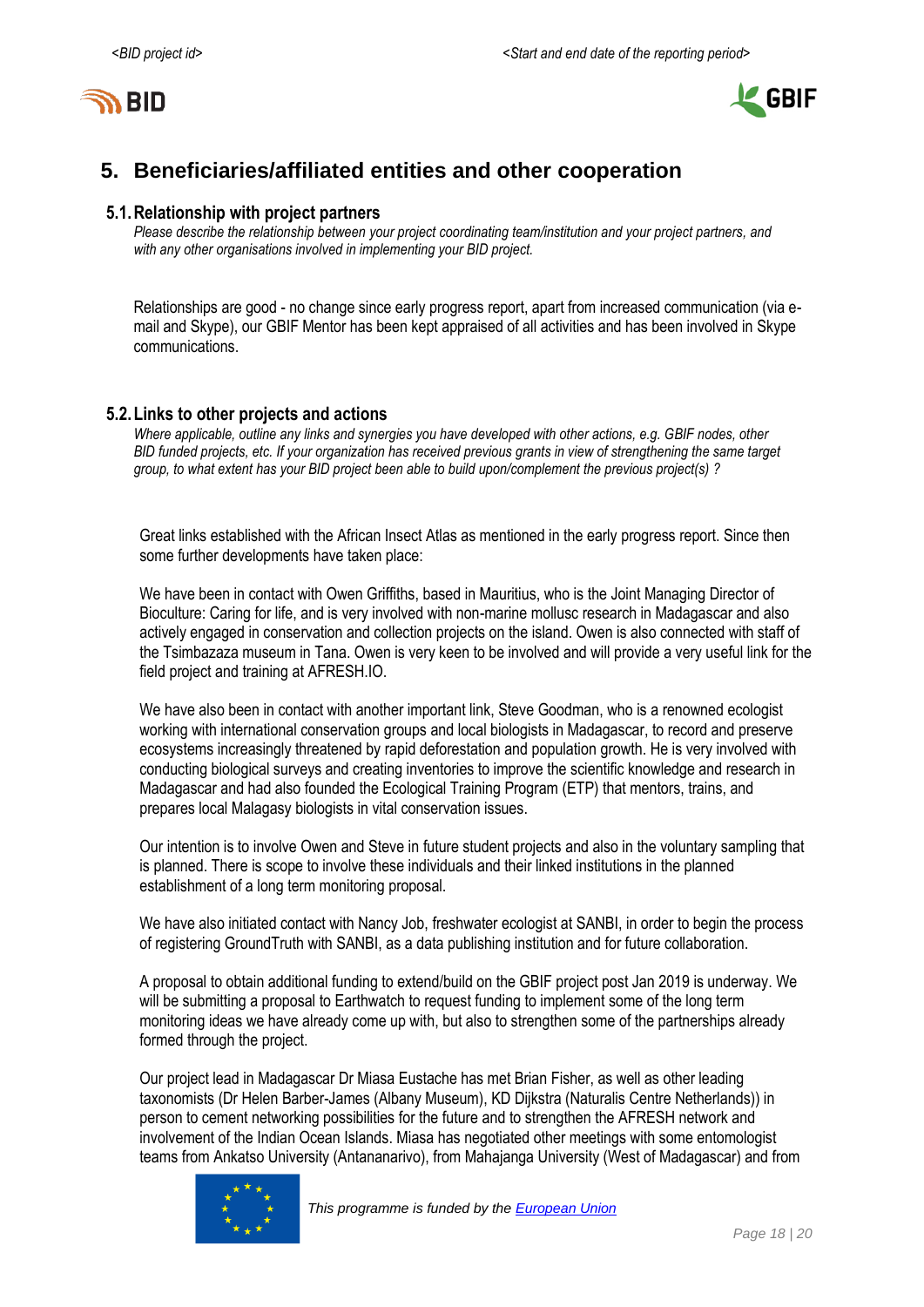



# <span id="page-17-0"></span>**5. Beneficiaries/affiliated entities and other cooperation**

#### **5.1.Relationship with project partners**

*Please describe the relationship between your project coordinating team/institution and your project partners, and with any other organisations involved in implementing your BID project.*

Relationships are good - no change since early progress report, apart from increased communication (via email and Skype), our GBIF Mentor has been kept appraised of all activities and has been involved in Skype communications.

### **5.2.Links to other projects and actions**

*Where applicable, outline any links and synergies you have developed with other actions, e.g. GBIF nodes, other BID funded projects, etc. If your organization has received previous grants in view of strengthening the same target group, to what extent has your BID project been able to build upon/complement the previous project(s) ?*

Great links established with the African Insect Atlas as mentioned in the early progress report. Since then some further developments have taken place:

We have been in contact with Owen Griffiths, based in Mauritius, who is the Joint Managing Director of Bioculture: Caring for life, and is very involved with non-marine mollusc research in Madagascar and also actively engaged in conservation and collection projects on the island. Owen is also connected with staff of the Tsimbazaza museum in Tana. Owen is very keen to be involved and will provide a very useful link for the field project and training at AFRESH.IO.

We have also been in contact with another important link, Steve Goodman, who is a renowned ecologist working with international conservation groups and local biologists in Madagascar, to record and preserve ecosystems increasingly threatened by rapid deforestation and population growth. He is very involved with conducting biological surveys and creating inventories to improve the scientific knowledge and research in Madagascar and had also founded the Ecological Training Program (ETP) that mentors, trains, and prepares local Malagasy biologists in vital conservation issues.

Our intention is to involve Owen and Steve in future student projects and also in the voluntary sampling that is planned. There is scope to involve these individuals and their linked institutions in the planned establishment of a long term monitoring proposal.

We have also initiated contact with Nancy Job, freshwater ecologist at SANBI, in order to begin the process of registering GroundTruth with SANBI, as a data publishing institution and for future collaboration.

A proposal to obtain additional funding to extend/build on the GBIF project post Jan 2019 is underway. We will be submitting a proposal to Earthwatch to request funding to implement some of the long term monitoring ideas we have already come up with, but also to strengthen some of the partnerships already formed through the project.

Our project lead in Madagascar Dr Miasa Eustache has met Brian Fisher, as well as other leading taxonomists (Dr Helen Barber-James (Albany Museum), KD Dijkstra (Naturalis Centre Netherlands)) in person to cement networking possibilities for the future and to strengthen the AFRESH network and involvement of the Indian Ocean Islands. Miasa has negotiated other meetings with some entomologist teams from Ankatso University (Antananarivo), from Mahajanga University (West of Madagascar) and from

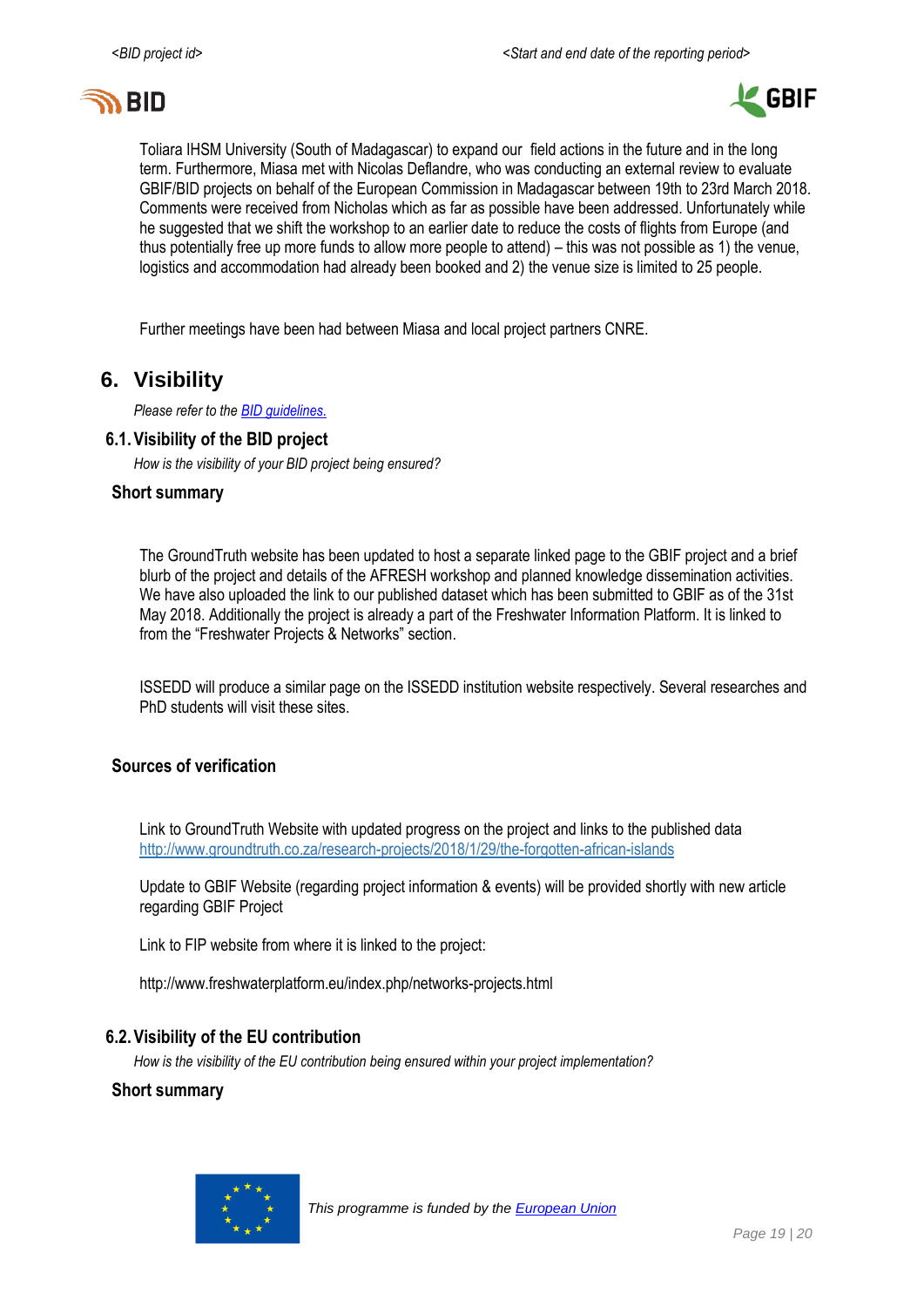



Toliara IHSM University (South of Madagascar) to expand our field actions in the future and in the long term. Furthermore, Miasa met with Nicolas Deflandre, who was conducting an external review to evaluate GBIF/BID projects on behalf of the European Commission in Madagascar between 19th to 23rd March 2018. Comments were received from Nicholas which as far as possible have been addressed. Unfortunately while he suggested that we shift the workshop to an earlier date to reduce the costs of flights from Europe (and thus potentially free up more funds to allow more people to attend) – this was not possible as 1) the venue, logistics and accommodation had already been booked and 2) the venue size is limited to 25 people.

Further meetings have been had between Miasa and local project partners CNRE.

## <span id="page-18-0"></span>**6. Visibility**

*Please refer to th[e BID guidelines.](http://bid.gbif.org/en/community/communication-guidelines/)*

### **6.1.Visibility of the BID project**

*How is the visibility of your BID project being ensured?*

#### **Short summary**

The GroundTruth website has been updated to host a separate linked page to the GBIF project and a brief blurb of the project and details of the AFRESH workshop and planned knowledge dissemination activities. We have also uploaded the link to our published dataset which has been submitted to GBIF as of the 31st May 2018. Additionally the project is already a part of the Freshwater Information Platform. It is linked to from the "Freshwater Projects & Networks" section.

ISSEDD will produce a similar page on the ISSEDD institution website respectively. Several researches and PhD students will visit these sites.

### **Sources of verification**

Link to GroundTruth Website with updated progress on the project and links to the published data <http://www.groundtruth.co.za/research-projects/2018/1/29/the-forgotten-african-islands>

Update to GBIF Website (regarding project information & events) will be provided shortly with new article regarding GBIF Project

Link to FIP website from where it is linked to the project:

http://www.freshwaterplatform.eu/index.php/networks-projects.html

### **6.2.Visibility of the EU contribution**

*How is the visibility of the EU contribution being ensured within your project implementation?*

#### **Short summary**